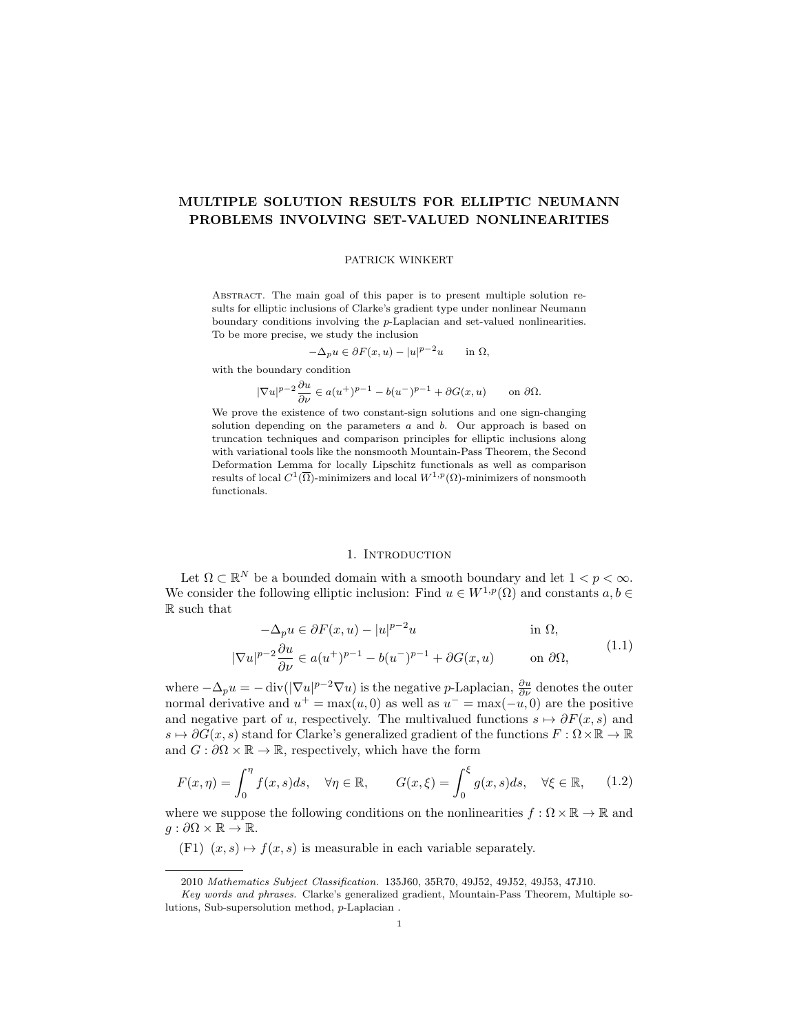# MULTIPLE SOLUTION RESULTS FOR ELLIPTIC NEUMANN PROBLEMS INVOLVING SET-VALUED NONLINEARITIES

### PATRICK WINKERT

Abstract. The main goal of this paper is to present multiple solution results for elliptic inclusions of Clarke's gradient type under nonlinear Neumann boundary conditions involving the p-Laplacian and set-valued nonlinearities. To be more precise, we study the inclusion

$$
-\Delta_p u \in \partial F(x, u) - |u|^{p-2}u \quad \text{in } \Omega,
$$

with the boundary condition

$$
|\nabla u|^{p-2}\frac{\partial u}{\partial \nu}\in a(u^+)^{p-1}-b(u^-)^{p-1}+\partial G(x,u)\qquad\text{on }\partial\Omega.
$$

We prove the existence of two constant-sign solutions and one sign-changing solution depending on the parameters  $a$  and  $b$ . Our approach is based on truncation techniques and comparison principles for elliptic inclusions along with variational tools like the nonsmooth Mountain-Pass Theorem, the Second Deformation Lemma for locally Lipschitz functionals as well as comparison results of local  $C^1(\overline{\Omega})$ -minimizers and local  $W^{1,p}(\Omega)$ -minimizers of nonsmooth functionals.

### <span id="page-0-1"></span><span id="page-0-0"></span>1. INTRODUCTION

Let  $\Omega \subset \mathbb{R}^N$  be a bounded domain with a smooth boundary and let  $1 < p < \infty$ . We consider the following elliptic inclusion: Find  $u \in W^{1,p}(\Omega)$  and constants  $a, b \in$ R such that

$$
-\Delta_p u \in \partial F(x, u) - |u|^{p-2}u \qquad \text{in } \Omega,
$$
  

$$
|\nabla u|^{p-2} \frac{\partial u}{\partial \nu} \in a(u^+)^{p-1} - b(u^-)^{p-1} + \partial G(x, u) \qquad \text{on } \partial \Omega,
$$
 (1.1)

where  $-\Delta_p u = -\text{div}(|\nabla u|^{p-2}\nabla u)$  is the negative p-Laplacian,  $\frac{\partial u}{\partial \nu}$  denotes the outer normal derivative and  $u^+ = \max(u, 0)$  as well as  $u^- = \max(-u, 0)$  are the positive and negative part of u, respectively. The multivalued functions  $s \mapsto \partial F(x, s)$  and  $s \mapsto \partial G(x, s)$  stand for Clarke's generalized gradient of the functions  $F : \Omega \times \mathbb{R} \to \mathbb{R}$ and  $G : \partial\Omega \times \mathbb{R} \to \mathbb{R}$ , respectively, which have the form

$$
F(x,\eta) = \int_0^{\eta} f(x,s)ds, \quad \forall \eta \in \mathbb{R}, \qquad G(x,\xi) = \int_0^{\xi} g(x,s)ds, \quad \forall \xi \in \mathbb{R}, \qquad (1.2)
$$

where we suppose the following conditions on the nonlinearities  $f : \Omega \times \mathbb{R} \to \mathbb{R}$  and  $q : \partial\Omega \times \mathbb{R} \to \mathbb{R}$ .

(F1)  $(x, s) \mapsto f(x, s)$  is measurable in each variable separately.

<sup>2010</sup> Mathematics Subject Classification. 135J60, 35R70, 49J52, 49J52, 49J53, 47J10.

Key words and phrases. Clarke's generalized gradient, Mountain-Pass Theorem, Multiple solutions, Sub-supersolution method, p-Laplacian .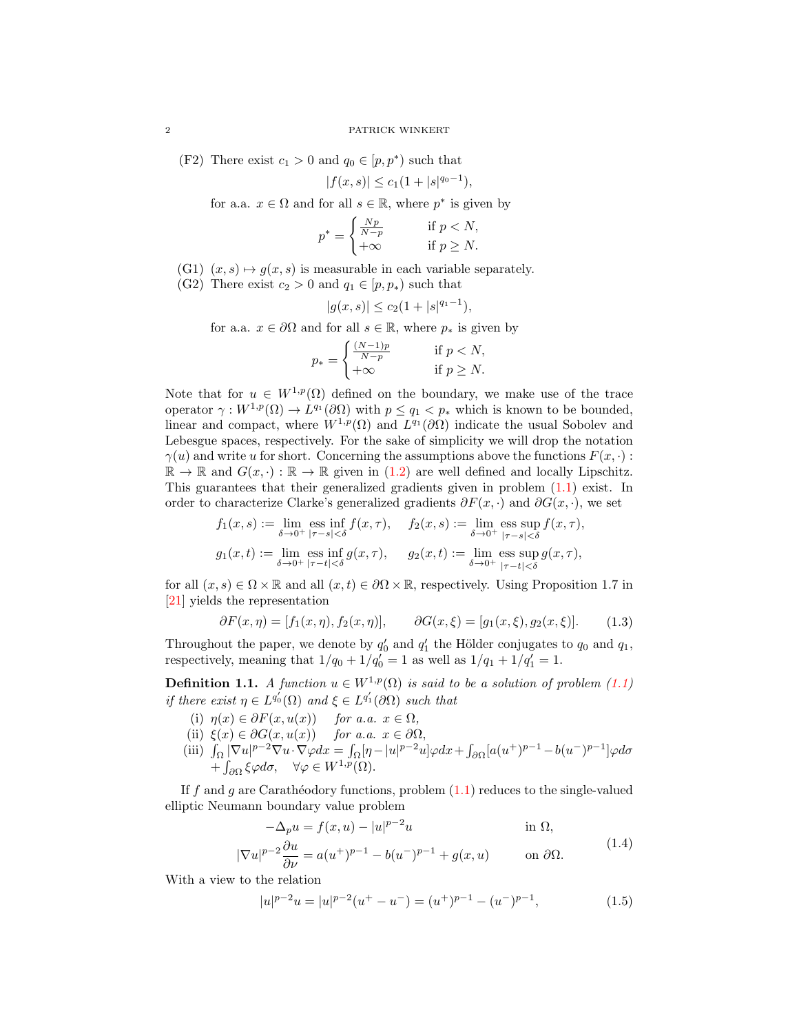(F2) There exist  $c_1 > 0$  and  $q_0 \in [p, p^*)$  such that

$$
|f(x,s)| \le c_1(1+|s|^{q_0-1}),
$$

for a.a.  $x \in \Omega$  and for all  $s \in \mathbb{R}$ , where  $p^*$  is given by

$$
p^* = \begin{cases} \frac{Np}{N-p} & \text{if } p < N, \\ +\infty & \text{if } p \ge N. \end{cases}
$$

- (G1)  $(x, s) \mapsto g(x, s)$  is measurable in each variable separately.
- (G2) There exist  $c_2 > 0$  and  $q_1 \in [p, p_*)$  such that

$$
|g(x,s)| \le c_2(1+|s|^{q_1-1}),
$$

for a.a.  $x \in \partial\Omega$  and for all  $s \in \mathbb{R}$ , where  $p_*$  is given by

$$
p_* = \begin{cases} \frac{(N-1)p}{N-p} & \text{if } p < N, \\ +\infty & \text{if } p \ge N. \end{cases}
$$

Note that for  $u \in W^{1,p}(\Omega)$  defined on the boundary, we make use of the trace operator  $\gamma: W^{1,p}(\Omega) \to L^{q_1}(\partial \Omega)$  with  $p \leq q_1 < p_*$  which is known to be bounded, linear and compact, where  $W^{1,p}(\Omega)$  and  $L^{q_1}(\partial\Omega)$  indicate the usual Sobolev and Lebesgue spaces, respectively. For the sake of simplicity we will drop the notation  $\gamma(u)$  and write u for short. Concerning the assumptions above the functions  $F(x, \cdot)$ :  $\mathbb{R} \to \mathbb{R}$  and  $G(x, \cdot) : \mathbb{R} \to \mathbb{R}$  given in [\(1.2\)](#page-0-0) are well defined and locally Lipschitz. This guarantees that their generalized gradients given in problem [\(1.1\)](#page-0-1) exist. In order to characterize Clarke's generalized gradients  $\partial F(x, \cdot)$  and  $\partial G(x, \cdot)$ , we set

$$
f_1(x, s) := \lim_{\delta \to 0^+} \operatorname{ess} \inf_{|\tau - s| < \delta} f(x, \tau), \quad f_2(x, s) := \lim_{\delta \to 0^+} \operatorname{ess} \sup_{|\tau - s| < \delta} f(x, \tau),
$$
  

$$
g_1(x, t) := \lim_{\delta \to 0^+} \operatorname{ess} \inf_{|\tau - t| < \delta} g(x, \tau), \quad g_2(x, t) := \lim_{\delta \to 0^+} \operatorname{ess} \sup_{|\tau - t| < \delta} g(x, \tau),
$$

for all  $(x, s) \in \Omega \times \mathbb{R}$  and all  $(x, t) \in \partial \Omega \times \mathbb{R}$ , respectively. Using Proposition 1.7 in [\[21\]](#page-17-0) yields the representation

<span id="page-1-1"></span>
$$
\partial F(x,\eta) = [f_1(x,\eta), f_2(x,\eta)], \qquad \partial G(x,\xi) = [g_1(x,\xi), g_2(x,\xi)]. \tag{1.3}
$$

Throughout the paper, we denote by  $q'_0$  and  $q'_1$  the Hölder conjugates to  $q_0$  and  $q_1$ , respectively, meaning that  $1/q_0 + 1/q'_0 = 1$  as well as  $1/q_1 + 1/q'_1 = 1$ .

<span id="page-1-2"></span>**Definition 1.1.** A function  $u \in W^{1,p}(\Omega)$  is said to be a solution of problem [\(1.1\)](#page-0-1) if there exist  $\eta \in L^{q_0'}(\Omega)$  and  $\xi \in L^{q_1'}(\partial \Omega)$  such that

- (i)  $\eta(x) \in \partial F(x, u(x))$  for a.a.  $x \in \Omega$ ,
- (ii)  $\xi(x) \in \partial G(x, u(x))$  for a.a.  $x \in \partial \Omega$ ,
- (iii)  $\int_{\Omega} |\nabla u|^{p-2} \nabla u \cdot \nabla \varphi dx = \int_{\Omega} \left[ \eta |u|^{p-2} u \right] \varphi dx + \int_{\partial \Omega} \left[ a(u^+)^{p-1} b(u^-)^{p-1} \right] \varphi d\sigma$  $+ \int_{\partial \Omega} \xi \varphi d\sigma$ ,  $\forall \varphi \in W^{1,p}(\Omega)$ .

If  $f$  and  $g$  are Carathéodory functions, problem  $(1.1)$  reduces to the single-valued elliptic Neumann boundary value problem

<span id="page-1-0"></span>
$$
-\Delta_p u = f(x, u) - |u|^{p-2}u \qquad \text{in } \Omega,
$$

$$
|\nabla u|^{p-2}\frac{\partial u}{\partial \nu} = a(u^+)^{p-1} - b(u^-)^{p-1} + g(x, u) \qquad \text{on } \partial \Omega.
$$
 (1.4)

With a view to the relation

<span id="page-1-3"></span>
$$
|u|^{p-2}u = |u|^{p-2}(u^+ - u^-) = (u^+)^{p-1} - (u^-)^{p-1},
$$
\n(1.5)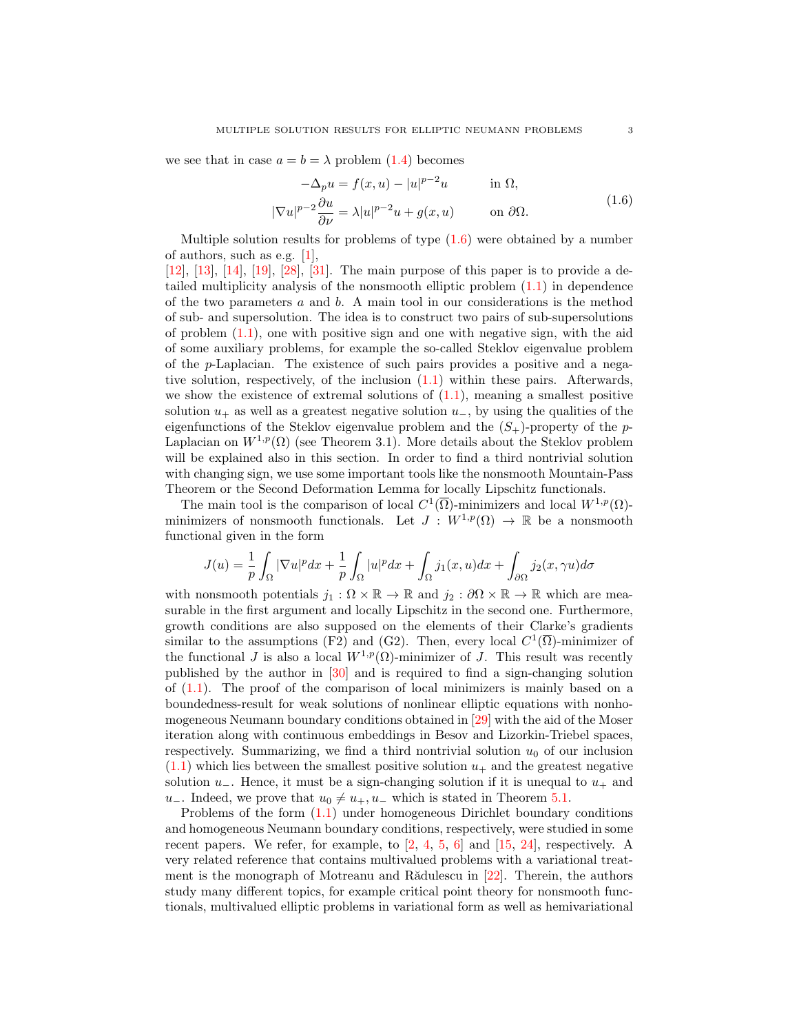we see that in case  $a = b = \lambda$  problem [\(1.4\)](#page-1-0) becomes

<span id="page-2-0"></span>
$$
-\Delta_p u = f(x, u) - |u|^{p-2}u \qquad \text{in } \Omega,
$$
  

$$
|\nabla u|^{p-2} \frac{\partial u}{\partial \nu} = \lambda |u|^{p-2}u + g(x, u) \qquad \text{on } \partial \Omega.
$$
 (1.6)

Multiple solution results for problems of type  $(1.6)$  were obtained by a number of authors, such as e.g. [\[1\]](#page-16-0),

[\[12\]](#page-17-1), [\[13\]](#page-17-2), [\[14\]](#page-17-3), [\[19\]](#page-17-4), [\[28\]](#page-17-5), [\[31\]](#page-18-0). The main purpose of this paper is to provide a detailed multiplicity analysis of the nonsmooth elliptic problem [\(1.1\)](#page-0-1) in dependence of the two parameters  $a$  and  $b$ . A main tool in our considerations is the method of sub- and supersolution. The idea is to construct two pairs of sub-supersolutions of problem  $(1.1)$ , one with positive sign and one with negative sign, with the aid of some auxiliary problems, for example the so-called Steklov eigenvalue problem of the  $p$ -Laplacian. The existence of such pairs provides a positive and a negative solution, respectively, of the inclusion [\(1.1\)](#page-0-1) within these pairs. Afterwards, we show the existence of extremal solutions of  $(1.1)$ , meaning a smallest positive solution  $u_+$  as well as a greatest negative solution  $u_-,$  by using the qualities of the eigenfunctions of the Steklov eigenvalue problem and the  $(S_{+})$ -property of the p-Laplacian on  $W^{1,p}(\Omega)$  (see Theorem 3.1). More details about the Steklov problem will be explained also in this section. In order to find a third nontrivial solution with changing sign, we use some important tools like the nonsmooth Mountain-Pass Theorem or the Second Deformation Lemma for locally Lipschitz functionals.

The main tool is the comparison of local  $C^1(\overline{\Omega})$ -minimizers and local  $W^{1,p}(\Omega)$ minimizers of nonsmooth functionals. Let  $J: W^{1,p}(\Omega) \to \mathbb{R}$  be a nonsmooth functional given in the form

$$
J(u) = \frac{1}{p} \int_{\Omega} |\nabla u|^p dx + \frac{1}{p} \int_{\Omega} |u|^p dx + \int_{\Omega} j_1(x, u) dx + \int_{\partial \Omega} j_2(x, \gamma u) d\sigma
$$

with nonsmooth potentials  $j_1 : \Omega \times \mathbb{R} \to \mathbb{R}$  and  $j_2 : \partial \Omega \times \mathbb{R} \to \mathbb{R}$  which are measurable in the first argument and locally Lipschitz in the second one. Furthermore, growth conditions are also supposed on the elements of their Clarke's gradients similar to the assumptions (F2) and (G2). Then, every local  $C^1(\overline{\Omega})$ -minimizer of the functional J is also a local  $W^{1,p}(\Omega)$ -minimizer of J. This result was recently published by the author in [\[30\]](#page-17-6) and is required to find a sign-changing solution of  $(1.1)$ . The proof of the comparison of local minimizers is mainly based on a boundedness-result for weak solutions of nonlinear elliptic equations with nonhomogeneous Neumann boundary conditions obtained in [\[29\]](#page-17-7) with the aid of the Moser iteration along with continuous embeddings in Besov and Lizorkin-Triebel spaces, respectively. Summarizing, we find a third nontrivial solution  $u_0$  of our inclusion  $(1.1)$  which lies between the smallest positive solution  $u_+$  and the greatest negative solution  $u_$ . Hence, it must be a sign-changing solution if it is unequal to  $u_+$  and u<sup>−</sup>. Indeed, we prove that  $u_0 \neq u_+, u_-\,$  which is stated in Theorem [5.1.](#page-16-1)

Problems of the form [\(1.1\)](#page-0-1) under homogeneous Dirichlet boundary conditions and homogeneous Neumann boundary conditions, respectively, were studied in some recent papers. We refer, for example, to  $\begin{bmatrix} 2, 4, 5, 6 \end{bmatrix}$  $\begin{bmatrix} 2, 4, 5, 6 \end{bmatrix}$  $\begin{bmatrix} 2, 4, 5, 6 \end{bmatrix}$  $\begin{bmatrix} 2, 4, 5, 6 \end{bmatrix}$  $\begin{bmatrix} 2, 4, 5, 6 \end{bmatrix}$  and  $\begin{bmatrix} 15, 24 \end{bmatrix}$ , respectively. A very related reference that contains multivalued problems with a variational treatment is the monograph of Motreanu and R $\tilde{a}$ dulescu in [\[22\]](#page-17-13). Therein, the authors study many different topics, for example critical point theory for nonsmooth functionals, multivalued elliptic problems in variational form as well as hemivariational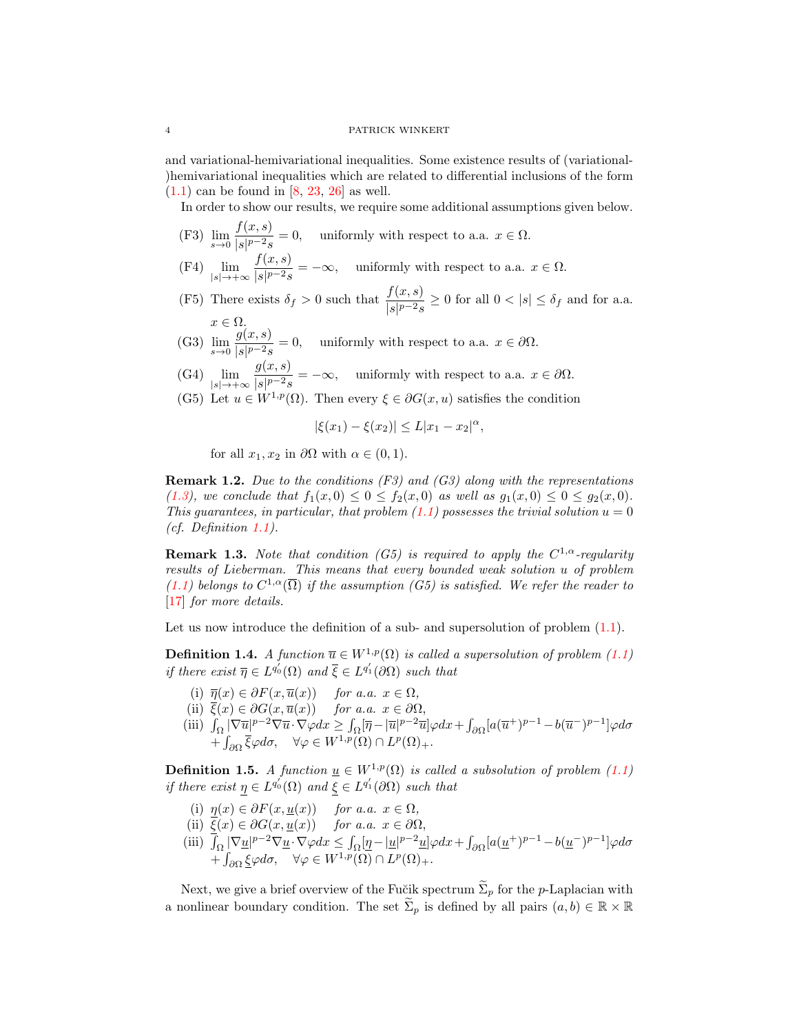#### 4 PATRICK WINKERT

and variational-hemivariational inequalities. Some existence results of (variational- )hemivariational inequalities which are related to differential inclusions of the form  $(1.1)$  can be found in [\[8,](#page-17-14) [23,](#page-17-15) [26\]](#page-17-16) as well.

In order to show our results, we require some additional assumptions given below.

- (F3)  $\lim_{s \to 0} \frac{f(x, s)}{|s|^{p-2} s}$  $\frac{\partial f(x, \theta)}{\partial |s|^{p-2} s} = 0$ , uniformly with respect to a.a.  $x \in \Omega$ .
- $(F4)$   $\lim_{|s| \to +\infty}$  $f(x, s)$  $\frac{\partial f(x, \theta)}{\partial |s|^{p-2}s} = -\infty$ , uniformly with respect to a.a.  $x \in \Omega$ .
- (F5) There exists  $\delta_f > 0$  such that  $\frac{f(x, s)}{|s|^{p-2} s} \ge 0$  for all  $0 < |s| \le \delta_f$  and for a.a.  $x \in \Omega$ .
- (G3)  $\lim_{s \to 0} \frac{g(x, s)}{|s|^{p-2} s}$  $\frac{g(x, \sigma)}{|s|^{p-2}s} = 0$ , uniformly with respect to a.a.  $x \in \partial\Omega$ .
- $(G4)$   $\lim_{|s| \to +\infty}$  $g(x, s)$  $\frac{g(x, \sigma)}{|s|^{p-2}s} = -\infty$ , uniformly with respect to a.a.  $x \in \partial\Omega$ .
- (G5) Let  $u \in W^{1,p}(\Omega)$ . Then every  $\xi \in \partial G(x, u)$  satisfies the condition

$$
|\xi(x_1) - \xi(x_2)| \le L|x_1 - x_2|^{\alpha},
$$

for all  $x_1, x_2$  in  $\partial\Omega$  with  $\alpha \in (0, 1)$ .

**Remark 1.2.** Due to the conditions  $(F3)$  and  $(G3)$  along with the representations [\(1.3\)](#page-1-1), we conclude that  $f_1(x, 0) \le 0 \le f_2(x, 0)$  as well as  $g_1(x, 0) \le 0 \le g_2(x, 0)$ . This quarantees, in particular, that problem  $(1.1)$  possesses the trivial solution  $u = 0$ (cf. Definition [1.1\)](#page-1-2).

**Remark 1.3.** Note that condition (G5) is required to apply the  $C^{1,\alpha}$ -regularity results of Lieberman. This means that every bounded weak solution u of problem  $(1.1)$  belongs to  $C^{1,\alpha}(\overline{\Omega})$  if the assumption  $(G5)$  is satisfied. We refer the reader to [\[17\]](#page-17-17) for more details.

Let us now introduce the definition of a sub- and supersolution of problem  $(1.1)$ .

<span id="page-3-0"></span>**Definition 1.4.** A function  $\overline{u} \in W^{1,p}(\Omega)$  is called a supersolution of problem [\(1.1\)](#page-0-1) if there exist  $\overline{\eta} \in L^{q_0'}(\Omega)$  and  $\overline{\xi} \in L^{q_1'}(\partial \Omega)$  such that

- (i)  $\overline{\eta}(x) \in \partial F(x, \overline{u}(x))$  for a.a.  $x \in \Omega$ ,
- (ii)  $\overline{\xi}(x) \in \partial G(x, \overline{u}(x))$  for a.a.  $x \in \partial \Omega$ ,
- (iii)  $\int_{\Omega} |\nabla \overline{u}|^{p-2} \nabla \overline{u} \cdot \nabla \varphi dx \ge \int_{\Omega} [\overline{\eta} |\overline{u}|^{p-2} \overline{u}] \varphi dx + \int_{\partial \Omega} [a(\overline{u}^+)^{p-1} b(\overline{u}^-)^{p-1}] \varphi d\sigma$  $+\int_{\partial\Omega} \overline{\xi} \varphi d\sigma$ ,  $\forall \varphi \in W^{1,p}(\Omega) \cap L^p(\Omega)$ +.

<span id="page-3-1"></span>**Definition 1.5.** A function  $\underline{u} \in W^{1,p}(\Omega)$  is called a subsolution of problem [\(1.1\)](#page-0-1) if there exist  $\eta \in L^{q_0'}(\Omega)$  and  $\xi \in L^{q_1'}(\partial \Omega)$  such that

- (i)  $\eta(x) \in \partial F(x, \underline{u}(x))$  for a.a.  $x \in \Omega$ ,
- (ii)  $\xi(x) \in \partial G(x, \underline{u}(x))$  for a.a.  $x \in \partial \Omega$ ,
- (iii)  $\int_{\Omega} |\nabla \underline{u}|^{p-2} \nabla \underline{u} \cdot \nabla \varphi dx \leq \int_{\Omega} \left[ \underline{\eta} |\underline{u}|^{p-2} \underline{u} \right] \varphi dx + \int_{\partial \Omega} \left[ a(\underline{u}^+)^{p-1} b(\underline{u}^-)^{p-1} \right] \varphi d\sigma$  $+\int_{\partial\Omega}\underline{\xi}\varphi d\sigma, \quad \forall \varphi \in W^{1,p}(\Omega) \cap L^p(\Omega)_+.$

Next, we give a brief overview of the Fučik spectrum  $\tilde{\Sigma}_p$  for the p-Laplacian with a nonlinear boundary condition. The set  $\widetilde{\Sigma}_p$  is defined by all pairs  $(a, b) \in \mathbb{R} \times \mathbb{R}$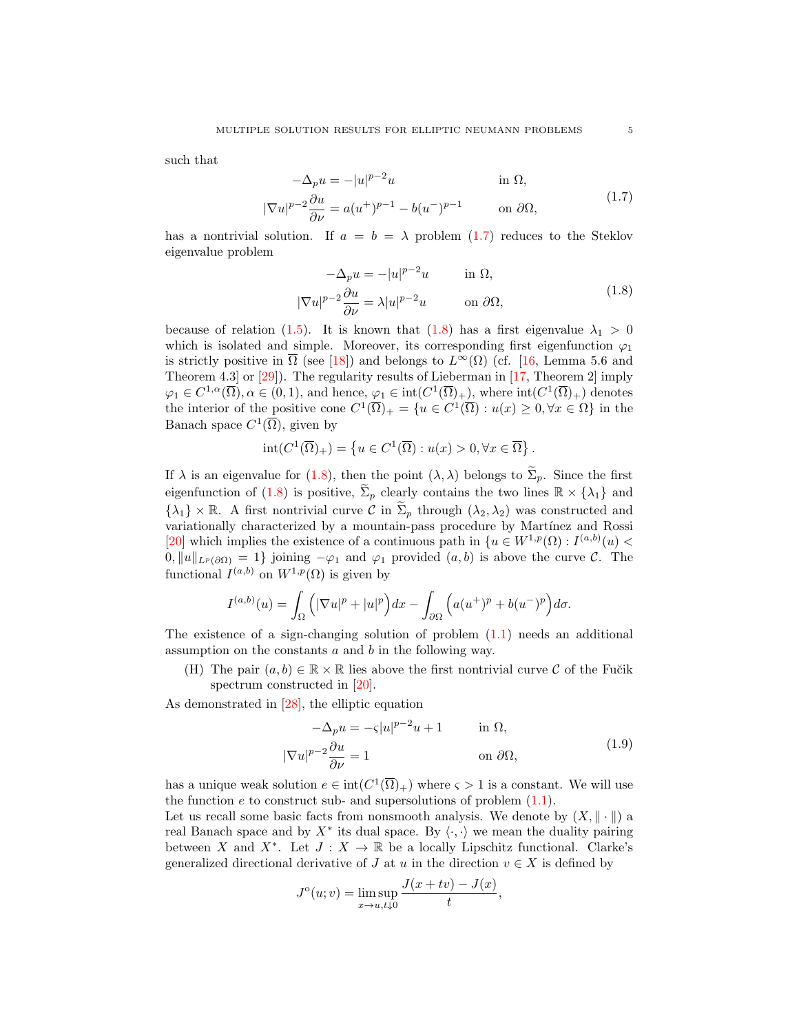such that

$$
-\Delta_p u = -|u|^{p-2}u \qquad \text{in } \Omega,
$$
  

$$
|\nabla u|^{p-2} \frac{\partial u}{\partial \nu} = a(u^+)^{p-1} - b(u^-)^{p-1} \qquad \text{on } \partial\Omega,
$$
 (1.7)

has a nontrivial solution. If  $a = b = \lambda$  problem [\(1.7\)](#page-4-0) reduces to the Steklov eigenvalue problem

<span id="page-4-1"></span><span id="page-4-0"></span>
$$
-\Delta_p u = -|u|^{p-2}u \qquad \text{in } \Omega,
$$
  

$$
|\nabla u|^{p-2} \frac{\partial u}{\partial \nu} = \lambda |u|^{p-2}u \qquad \text{on } \partial \Omega,
$$
 (1.8)

because of relation [\(1.5\)](#page-1-3). It is known that [\(1.8\)](#page-4-1) has a first eigenvalue  $\lambda_1 > 0$ which is isolated and simple. Moreover, its corresponding first eigenfunction  $\varphi_1$ is strictly positive in  $\overline{\Omega}$  (see [\[18\]](#page-17-18)) and belongs to  $L^{\infty}(\Omega)$  (cf. [\[16,](#page-17-19) Lemma 5.6 and Theorem 4.3 or  $[29]$ . The regularity results of Lieberman in  $[17,$  Theorem 2 imply  $\varphi_1 \in C^{1,\alpha}(\overline{\Omega}), \alpha \in (0,1)$ , and hence,  $\varphi_1 \in \text{int}(C^1(\overline{\Omega})_+)$ , where  $\text{int}(C^1(\overline{\Omega})_+)$  denotes the interior of the positive cone  $C^1(\overline{\Omega})_+ = \{u \in C^1(\overline{\Omega}) : u(x) \geq 0, \forall x \in \Omega\}$  in the Banach space  $C^1(\overline{\Omega})$ , given by

$$
int(C^{1}(\overline{\Omega})_{+}) = \left\{ u \in C^{1}(\overline{\Omega}) : u(x) > 0, \forall x \in \overline{\Omega} \right\}.
$$

If  $\lambda$  is an eigenvalue for [\(1.8\)](#page-4-1), then the point  $(\lambda, \lambda)$  belongs to  $\tilde{\Sigma}_p$ . Since the first eigenfunction of [\(1.8\)](#page-4-1) is positive,  $\widetilde{\Sigma}_p$  clearly contains the two lines  $\mathbb{R} \times {\lambda_1}$  and  $\{\lambda_1\} \times \mathbb{R}$ . A first nontrivial curve C in  $\tilde{\Sigma}_p$  through  $(\lambda_2, \lambda_2)$  was constructed and variationally characterized by a mountain-pass procedure by Martínez and Rossi [\[20\]](#page-17-20) which implies the existence of a continuous path in  $\{u \in W^{1,p}(\Omega) : I^{(a,b)}(u)$  $0, ||u||_{L^p(\partial\Omega)} = 1$  joining  $-\varphi_1$  and  $\varphi_1$  provided  $(a, b)$  is above the curve C. The functional  $I^{(a,b)}$  on  $W^{1,p}(\Omega)$  is given by

$$
I^{(a,b)}(u) = \int_{\Omega} \Big( |\nabla u|^p + |u|^p \Big) dx - \int_{\partial \Omega} \Big( a(u^+)^p + b(u^-)^p \Big) d\sigma.
$$

The existence of a sign-changing solution of problem  $(1.1)$  needs an additional assumption on the constants a and b in the following way.

(H) The pair  $(a, b) \in \mathbb{R} \times \mathbb{R}$  lies above the first nontrivial curve C of the Fučik spectrum constructed in [\[20\]](#page-17-20).

As demonstrated in [\[28\]](#page-17-5), the elliptic equation

<span id="page-4-2"></span>
$$
-\Delta_p u = -\varsigma |u|^{p-2}u + 1 \qquad \text{in } \Omega,
$$
  

$$
|\nabla u|^{p-2} \frac{\partial u}{\partial \nu} = 1 \qquad \text{on } \partial \Omega,
$$
 (1.9)

has a unique weak solution  $e \in \text{int}(C^1(\overline{\Omega})_+)$  where  $\varsigma > 1$  is a constant. We will use the function  $e$  to construct sub- and supersolutions of problem  $(1.1)$ .

Let us recall some basic facts from nonsmooth analysis. We denote by  $(X, \|\cdot\|)$  a real Banach space and by  $X^*$  its dual space. By  $\langle \cdot, \cdot \rangle$  we mean the duality pairing between X and X<sup>\*</sup>. Let  $J: X \to \mathbb{R}$  be a locally Lipschitz functional. Clarke's generalized directional derivative of J at u in the direction  $v \in X$  is defined by

$$
J^{o}(u; v) = \limsup_{x \to u, t \downarrow 0} \frac{J(x + tv) - J(x)}{t},
$$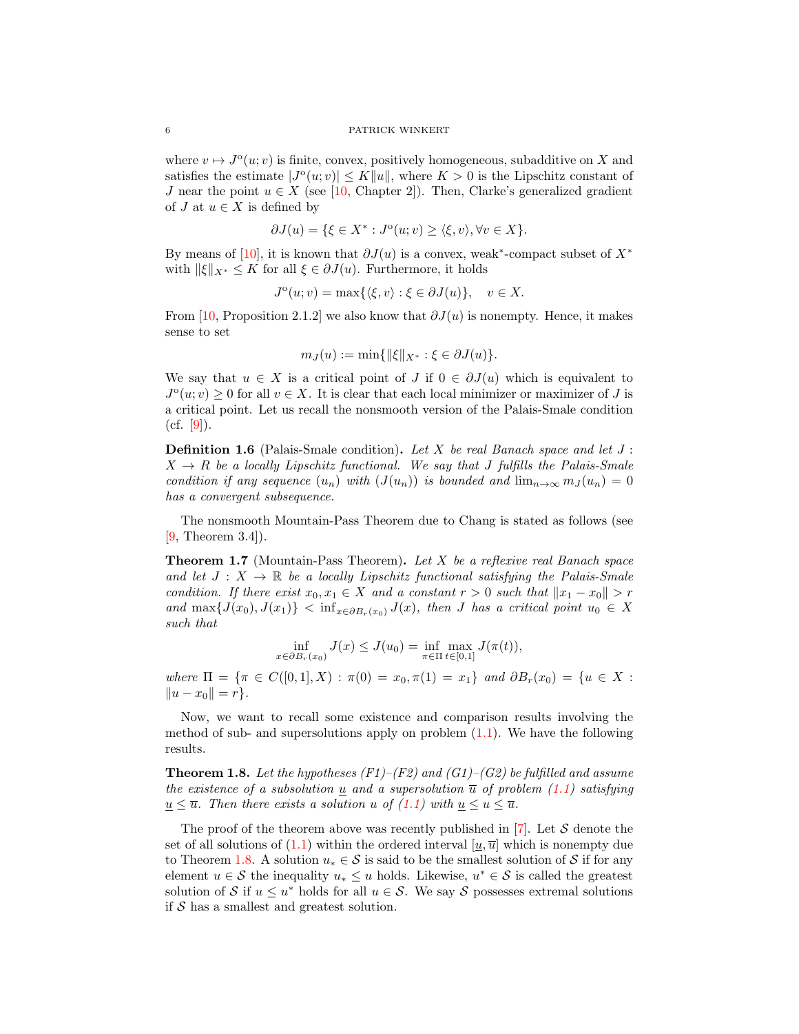where  $v \mapsto J^{\circ}(u; v)$  is finite, convex, positively homogeneous, subadditive on X and satisfies the estimate  $|J^{\circ}(u; v)| \leq K ||u||$ , where  $K > 0$  is the Lipschitz constant of J near the point  $u \in X$  (see [\[10,](#page-17-21) Chapter 2]). Then, Clarke's generalized gradient of  $J$  at  $u \in X$  is defined by

$$
\partial J(u) = \{ \xi \in X^* : J^{\circ}(u; v) \ge \langle \xi, v \rangle, \forall v \in X \}.
$$

By means of [\[10\]](#page-17-21), it is known that  $\partial J(u)$  is a convex, weak<sup>\*</sup>-compact subset of  $X^*$ with  $\|\xi\|_{X^*} \leq K$  for all  $\xi \in \partial J(u)$ . Furthermore, it holds

$$
J^{\circ}(u; v) = \max\{\langle \xi, v \rangle : \xi \in \partial J(u)\}, \quad v \in X.
$$

From [\[10,](#page-17-21) Proposition 2.1.2] we also know that  $\partial J(u)$  is nonempty. Hence, it makes sense to set

$$
m_J(u) := \min\{\|\xi\|_{X^*} : \xi \in \partial J(u)\}.
$$

We say that  $u \in X$  is a critical point of J if  $0 \in \partial J(u)$  which is equivalent to  $J^{\circ}(u; v) \geq 0$  for all  $v \in X$ . It is clear that each local minimizer or maximizer of J is a critical point. Let us recall the nonsmooth version of the Palais-Smale condition  $(cf. [9]).$  $(cf. [9]).$  $(cf. [9]).$ 

<span id="page-5-1"></span>**Definition 1.6** (Palais-Smale condition). Let X be real Banach space and let  $J$ :  $X \rightarrow R$  be a locally Lipschitz functional. We say that J fulfills the Palais-Smale condition if any sequence  $(u_n)$  with  $(J(u_n))$  is bounded and  $\lim_{n\to\infty} m_J(u_n) = 0$ has a convergent subsequence.

The nonsmooth Mountain-Pass Theorem due to Chang is stated as follows (see [\[9,](#page-17-22) Theorem 3.4]).

<span id="page-5-2"></span>**Theorem 1.7** (Mountain-Pass Theorem). Let X be a reflexive real Banach space and let  $J: X \to \mathbb{R}$  be a locally Lipschitz functional satisfying the Palais-Smale condition. If there exist  $x_0, x_1 \in X$  and a constant  $r > 0$  such that  $||x_1 - x_0|| > r$ and  $\max\{J(x_0), J(x_1)\}$  <  $\inf_{x \in \partial B_r(x_0)} J(x)$ , then J has a critical point  $u_0 \in X$ such that

$$
\inf_{x \in \partial B_r(x_0)} J(x) \le J(u_0) = \inf_{\pi \in \Pi} \max_{t \in [0,1]} J(\pi(t)),
$$

where  $\Pi = \{\pi \in C([0,1], X) : \pi(0) = x_0, \pi(1) = x_1\}$  and  $\partial B_r(x_0) = \{u \in X :$  $||u - x_0|| = r$ .

Now, we want to recall some existence and comparison results involving the method of sub- and supersolutions apply on problem  $(1.1)$ . We have the following results.

<span id="page-5-0"></span>**Theorem 1.8.** Let the hypotheses (F1)–(F2) and (G1)–(G2) be fulfilled and assume the existence of a subsolution  $\underline{u}$  and a supersolution  $\overline{u}$  of problem [\(1.1\)](#page-0-1) satisfying  $u \leq \overline{u}$ . Then there exists a solution u of [\(1.1\)](#page-0-1) with  $u \leq u \leq \overline{u}$ .

The proof of the theorem above was recently published in [\[7\]](#page-17-23). Let  $S$  denote the set of all solutions of [\(1.1\)](#page-0-1) within the ordered interval  $[\underline{u}, \overline{u}]$  which is nonempty due to Theorem [1.8.](#page-5-0) A solution  $u_* \in \mathcal{S}$  is said to be the smallest solution of  $\mathcal{S}$  if for any element  $u \in \mathcal{S}$  the inequality  $u_* \leq u$  holds. Likewise,  $u^* \in \mathcal{S}$  is called the greatest solution of S if  $u \leq u^*$  holds for all  $u \in S$ . We say S possesses extremal solutions if  $S$  has a smallest and greatest solution.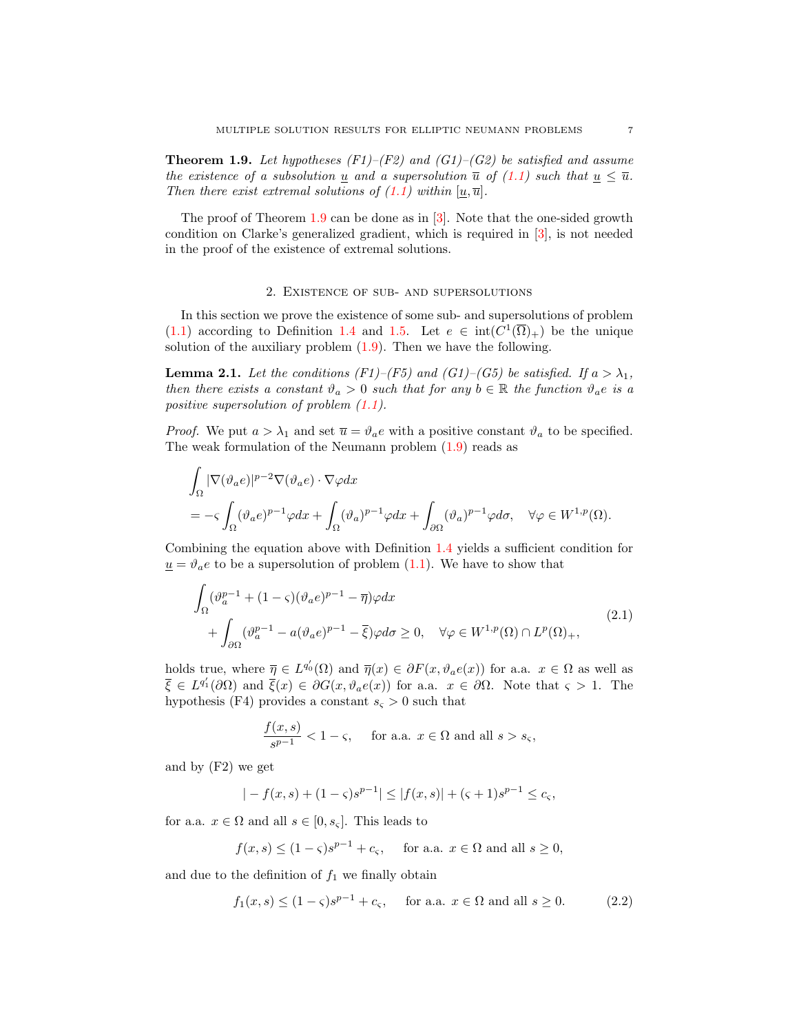<span id="page-6-0"></span>**Theorem 1.9.** Let hypotheses  $(F1)$ – $(F2)$  and  $(G1)$ – $(G2)$  be satisfied and assume the existence of a subsolution <u>u</u> and a supersolution  $\overline{u}$  of [\(1.1\)](#page-0-1) such that  $u \leq \overline{u}$ . Then there exist extremal solutions of  $(1.1)$  within  $[\underline{u}, \overline{u}]$ .

The proof of Theorem [1.9](#page-6-0) can be done as in [\[3\]](#page-16-3). Note that the one-sided growth condition on Clarke's generalized gradient, which is required in [\[3\]](#page-16-3), is not needed in the proof of the existence of extremal solutions.

### 2. Existence of sub- and supersolutions

In this section we prove the existence of some sub- and supersolutions of problem [\(1.1\)](#page-0-1) according to Definition [1.4](#page-3-0) and [1.5.](#page-3-1) Let  $e \in \text{int}(C^1(\overline{\Omega})_+)$  be the unique solution of the auxiliary problem  $(1.9)$ . Then we have the following.

<span id="page-6-3"></span>**Lemma 2.1.** Let the conditions (F1)–(F5) and (G1)–(G5) be satisfied. If  $a > \lambda_1$ , then there exists a constant  $\vartheta_a > 0$  such that for any  $b \in \mathbb{R}$  the function  $\vartheta_a e$  is a positive supersolution of problem [\(1.1\)](#page-0-1).

*Proof.* We put  $a > \lambda_1$  and set  $\overline{u} = \vartheta_a e$  with a positive constant  $\vartheta_a$  to be specified. The weak formulation of the Neumann problem [\(1.9\)](#page-4-2) reads as

$$
\begin{split} &\int_{\Omega} |\nabla(\vartheta_a e)|^{p-2} \nabla(\vartheta_a e) \cdot \nabla \varphi dx \\ &= -\varsigma \int_{\Omega} (\vartheta_a e)^{p-1} \varphi dx + \int_{\Omega} (\vartheta_a)^{p-1} \varphi dx + \int_{\partial \Omega} (\vartheta_a)^{p-1} \varphi d\sigma, \quad \forall \varphi \in W^{1,p}(\Omega). \end{split}
$$

Combining the equation above with Definition [1.4](#page-3-0) yields a sufficient condition for  $u = \vartheta_a e$  to be a supersolution of problem [\(1.1\)](#page-0-1). We have to show that

$$
\int_{\Omega} (\vartheta_a^{p-1} + (1 - \varsigma)(\vartheta_a e)^{p-1} - \overline{\eta}) \varphi dx \n+ \int_{\partial \Omega} (\vartheta_a^{p-1} - a(\vartheta_a e)^{p-1} - \overline{\xi}) \varphi d\sigma \ge 0, \quad \forall \varphi \in W^{1,p}(\Omega) \cap L^p(\Omega)_+,
$$
\n(2.1)

holds true, where  $\overline{\eta} \in L^{q_0'}(\Omega)$  and  $\overline{\eta}(x) \in \partial F(x, \vartheta_a e(x))$  for a.a.  $x \in \Omega$  as well as  $\overline{\xi} \in L^{q'_1}(\partial \Omega)$  and  $\overline{\xi}(x) \in \partial G(x, \vartheta_a e(x))$  for a.a.  $x \in \partial \Omega$ . Note that  $\varsigma > 1$ . The hypothesis (F4) provides a constant  $s<sub>s</sub> > 0$  such that

<span id="page-6-2"></span>
$$
\frac{f(x,s)}{s^{p-1}} < 1 - \varsigma, \quad \text{ for a.a. } x \in \Omega \text{ and all } s > s_{\varsigma},
$$

and by (F2) we get

$$
|-f(x,s)+(1-\varsigma)s^{p-1}| \le |f(x,s)|+(s+1)s^{p-1} \le c_{\varsigma},
$$

for a.a.  $x \in \Omega$  and all  $s \in [0, s_{\varsigma}]$ . This leads to

<span id="page-6-1"></span>
$$
f(x, s) \le (1 - \varsigma)s^{p-1} + c_{\varsigma}
$$
, for a.a.  $x \in \Omega$  and all  $s \ge 0$ ,

and due to the definition of  $f_1$  we finally obtain

$$
f_1(x,s) \le (1-\varsigma)s^{p-1} + c_{\varsigma}, \quad \text{ for a.a. } x \in \Omega \text{ and all } s \ge 0.
$$
 (2.2)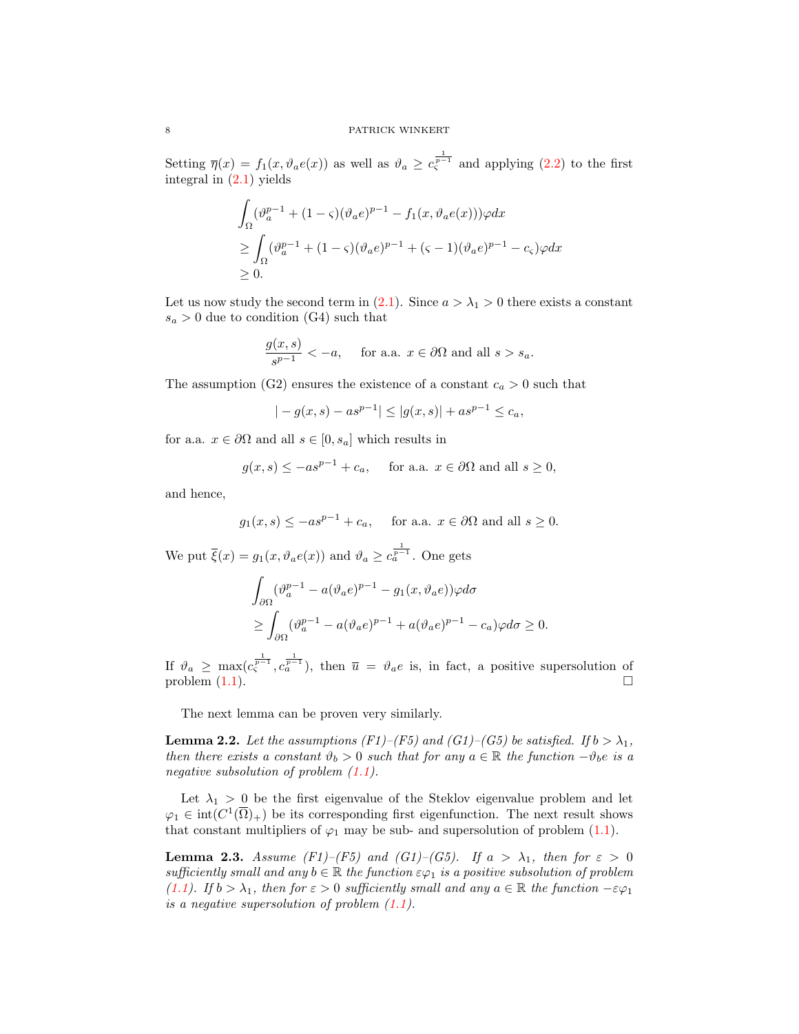Setting  $\overline{\eta}(x) = f_1(x, \vartheta_a e(x))$  as well as  $\vartheta_a \geq c_s^{\frac{1}{p-1}}$  and applying [\(2.2\)](#page-6-1) to the first integral in [\(2.1\)](#page-6-2) yields

$$
\int_{\Omega} (\vartheta_a^{p-1} + (1 - \varsigma)(\vartheta_a e)^{p-1} - f_1(x, \vartheta_a e(x)))\varphi dx
$$
  
\n
$$
\geq \int_{\Omega} (\vartheta_a^{p-1} + (1 - \varsigma)(\vartheta_a e)^{p-1} + (\varsigma - 1)(\vartheta_a e)^{p-1} - c_{\varsigma})\varphi dx
$$
  
\n
$$
\geq 0.
$$

Let us now study the second term in [\(2.1\)](#page-6-2). Since  $a > \lambda_1 > 0$  there exists a constant  $s_a > 0$  due to condition (G4) such that

$$
\frac{g(x,s)}{s^{p-1}} < -a, \quad \text{ for a.a. } x \in \partial\Omega \text{ and all } s > s_a.
$$

The assumption (G2) ensures the existence of a constant  $c_a > 0$  such that

$$
|-g(x,s) - as^{p-1}| \le |g(x,s)| + as^{p-1} \le c_a,
$$

for a.a.  $x \in \partial\Omega$  and all  $s \in [0, s_a]$  which results in

$$
g(x, s) \le -as^{p-1} + c_a
$$
, for a.a.  $x \in \partial\Omega$  and all  $s \ge 0$ ,

and hence,

$$
g_1(x, s) \le -as^{p-1} + c_a
$$
, for a.a.  $x \in \partial\Omega$  and all  $s \ge 0$ .

We put  $\overline{\xi}(x) = g_1(x, \vartheta_a e(x))$  and  $\vartheta_a \geq c_a^{\frac{1}{p-1}}$ . One gets

$$
\int_{\partial\Omega} (\vartheta_a^{p-1} - a(\vartheta_a e)^{p-1} - g_1(x, \vartheta_a e))\varphi d\sigma
$$
  
\n
$$
\geq \int_{\partial\Omega} (\vartheta_a^{p-1} - a(\vartheta_a e)^{p-1} + a(\vartheta_a e)^{p-1} - c_a)\varphi d\sigma \geq 0.
$$

If  $\vartheta_a \geq \max(c_{\varsigma}^{\frac{1}{p-1}}, c_a^{\frac{1}{p-1}})$ , then  $\overline{u} = \vartheta_a e$  is, in fact, a positive supersolution of problem  $(1.1)$ .

The next lemma can be proven very similarly.

<span id="page-7-0"></span>**Lemma 2.2.** Let the assumptions (F1)–(F5) and (G1)–(G5) be satisfied. If  $b > \lambda_1$ , then there exists a constant  $\vartheta_b > 0$  such that for any  $a \in \mathbb{R}$  the function  $-\vartheta_b e$  is a negative subsolution of problem  $(1.1)$ .

Let  $\lambda_1 > 0$  be the first eigenvalue of the Steklov eigenvalue problem and let  $\varphi_1 \in \text{int}(C^1(\overline{\Omega})_+)$  be its corresponding first eigenfunction. The next result shows that constant multipliers of  $\varphi_1$  may be sub- and supersolution of problem [\(1.1\)](#page-0-1).

<span id="page-7-1"></span>**Lemma 2.3.** Assume (F1)–(F5) and (G1)–(G5). If  $a > \lambda_1$ , then for  $\varepsilon > 0$ sufficiently small and any  $b \in \mathbb{R}$  the function  $\varepsilon \varphi_1$  is a positive subsolution of problem [\(1.1\)](#page-0-1). If  $b > \lambda_1$ , then for  $\varepsilon > 0$  sufficiently small and any  $a \in \mathbb{R}$  the function  $-\varepsilon \varphi_1$ is a negative supersolution of problem  $(1.1)$ .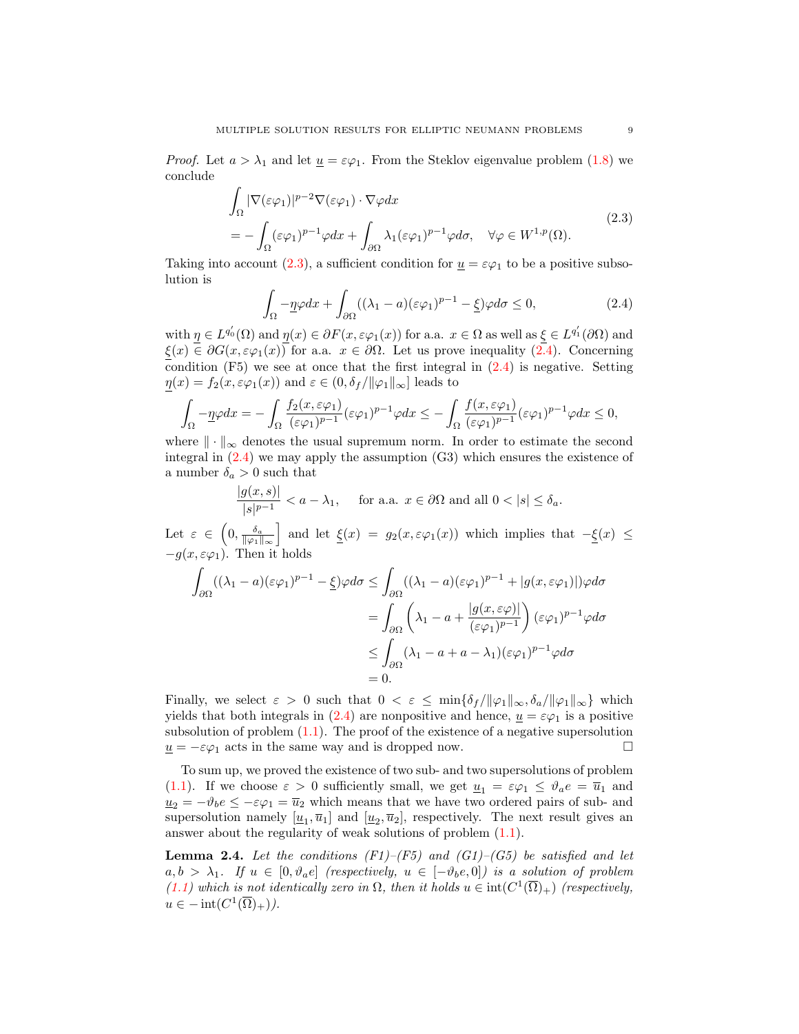*Proof.* Let  $a > \lambda_1$  and let  $\underline{u} = \varepsilon \varphi_1$ . From the Steklov eigenvalue problem [\(1.8\)](#page-4-1) we conclude

$$
\int_{\Omega} |\nabla(\varepsilon \varphi_1)|^{p-2} \nabla(\varepsilon \varphi_1) \cdot \nabla \varphi dx
$$
\n
$$
= -\int_{\Omega} (\varepsilon \varphi_1)^{p-1} \varphi dx + \int_{\partial \Omega} \lambda_1 (\varepsilon \varphi_1)^{p-1} \varphi d\sigma, \quad \forall \varphi \in W^{1,p}(\Omega).
$$
\n(2.3)

Taking into account [\(2.3\)](#page-8-0), a sufficient condition for  $\underline{u} = \varepsilon \varphi_1$  to be a positive subsolution is

<span id="page-8-1"></span><span id="page-8-0"></span>
$$
\int_{\Omega} -\underline{\eta}\varphi dx + \int_{\partial\Omega} ((\lambda_1 - a)(\varepsilon\varphi_1)^{p-1} - \underline{\xi})\varphi d\sigma \le 0,
$$
\n(2.4)

with  $\eta \in L^{q'_0}(\Omega)$  and  $\eta(x) \in \partial F(x, \varepsilon \varphi_1(x))$  for a.a.  $x \in \Omega$  as well as  $\xi \in L^{q'_1}(\partial \Omega)$  and  $\xi(x) \in \partial G(x, \varepsilon \varphi_1(x))$  for a.a.  $x \in \partial \Omega$ . Let us prove inequality  $(2.4)$ . Concerning condition  $(F5)$  we see at once that the first integral in  $(2.4)$  is negative. Setting  $\eta(x) = f_2(x, \varepsilon \varphi_1(x))$  and  $\varepsilon \in (0, \delta_f / ||\varphi_1||_{\infty}]$  leads to

$$
\int_{\Omega} -\underline{\eta}\varphi dx = -\int_{\Omega} \frac{f_2(x,\varepsilon\varphi_1)}{(\varepsilon\varphi_1)^{p-1}} (\varepsilon\varphi_1)^{p-1} \varphi dx \leq -\int_{\Omega} \frac{f(x,\varepsilon\varphi_1)}{(\varepsilon\varphi_1)^{p-1}} (\varepsilon\varphi_1)^{p-1} \varphi dx \leq 0,
$$

where  $\|\cdot\|_{\infty}$  denotes the usual supremum norm. In order to estimate the second integral in [\(2.4\)](#page-8-1) we may apply the assumption (G3) which ensures the existence of a number  $\delta_a > 0$  such that

$$
\frac{|g(x,s)|}{|s|^{p-1}} < a - \lambda_1, \quad \text{for a.a. } x \in \partial\Omega \text{ and all } 0 < |s| \le \delta_a.
$$

Let  $\varepsilon \in (0, \frac{\delta_a}{\|\varphi_1\|_{\infty}}]$  and let  $\underline{\xi}(x) = g_2(x, \varepsilon \varphi_1(x))$  which implies that  $-\underline{\xi}(x) \leq$  $-g(x, \varepsilon\varphi_1)$ . Then it holds

$$
\int_{\partial\Omega} ((\lambda_1 - a)(\varepsilon\varphi_1)^{p-1} - \underline{\xi})\varphi d\sigma \le \int_{\partial\Omega} ((\lambda_1 - a)(\varepsilon\varphi_1)^{p-1} + |g(x,\varepsilon\varphi_1)|)\varphi d\sigma
$$
\n
$$
= \int_{\partial\Omega} \left(\lambda_1 - a + \frac{|g(x,\varepsilon\varphi)|}{(\varepsilon\varphi_1)^{p-1}}\right) (\varepsilon\varphi_1)^{p-1}\varphi d\sigma
$$
\n
$$
\le \int_{\partial\Omega} (\lambda_1 - a + a - \lambda_1)(\varepsilon\varphi_1)^{p-1}\varphi d\sigma
$$
\n
$$
= 0.
$$

Finally, we select  $\varepsilon > 0$  such that  $0 < \varepsilon \le \min{\{\delta_f / ||\varphi_1||_{\infty}, \delta_a / ||\varphi_1||_{\infty}\}}$  which yields that both integrals in [\(2.4\)](#page-8-1) are nonpositive and hence,  $u = \varepsilon \varphi_1$  is a positive subsolution of problem  $(1.1)$ . The proof of the existence of a negative supersolution  $\underline{u} = -\varepsilon \varphi_1$  acts in the same way and is dropped now.  $\square$ 

To sum up, we proved the existence of two sub- and two supersolutions of problem [\(1.1\)](#page-0-1). If we choose  $\varepsilon > 0$  sufficiently small, we get  $\underline{u}_1 = \varepsilon \varphi_1 \leq \vartheta_a e = \overline{u}_1$  and  $\underline{u}_2 = -\vartheta_b e \leq -\varepsilon \varphi_1 = \overline{u}_2$  which means that we have two ordered pairs of sub- and supersolution namely  $[\underline{u}_1, \overline{u}_1]$  and  $[\underline{u}_2, \overline{u}_2]$ , respectively. The next result gives an answer about the regularity of weak solutions of problem  $(1.1)$ .

<span id="page-8-2"></span>**Lemma 2.4.** Let the conditions  $(F1)$ – $(F5)$  and  $(G1)$ – $(G5)$  be satisfied and let  $a, b > \lambda_1$ . If  $u \in [0, \vartheta_{\alpha}e]$  (respectively,  $u \in [-\vartheta_{\alpha}e, 0]$ ) is a solution of problem  $(1.1)$  which is not identically zero in  $\Omega$ , then it holds  $u \in \text{int}(C^1(\overline{\Omega})_+)$  (respectively,  $u \in -\mathrm{int}(C^1(\overline{\Omega})_+)).$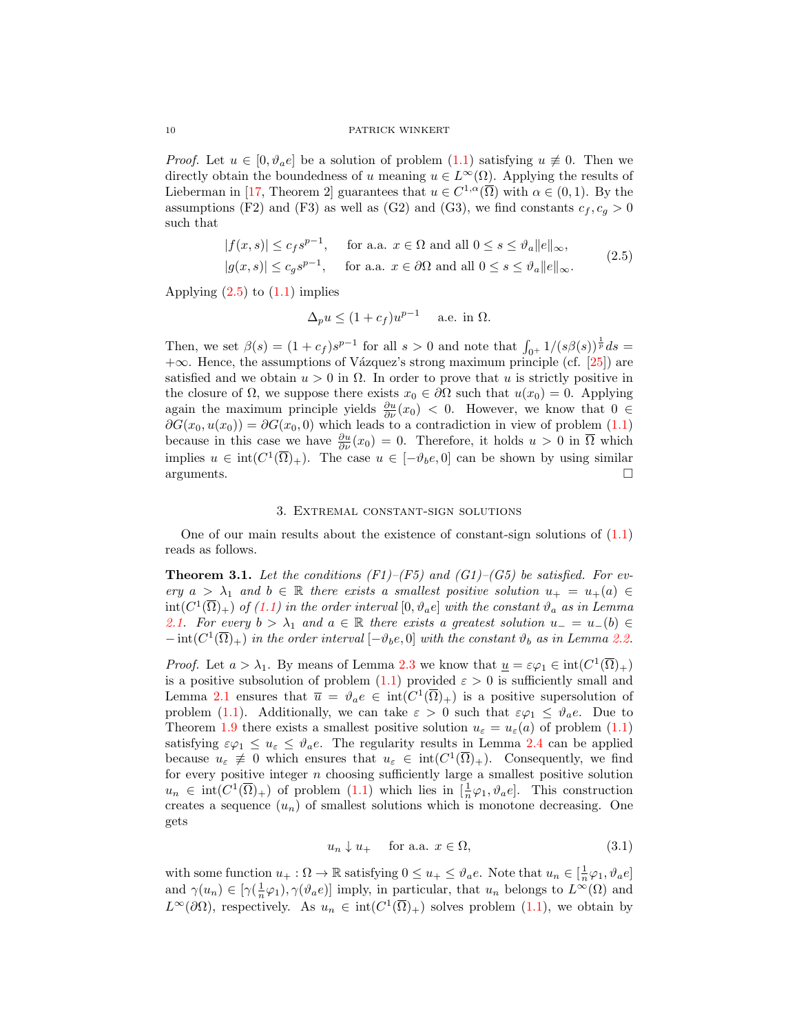*Proof.* Let  $u \in [0, \vartheta_a e]$  be a solution of problem  $(1.1)$  satisfying  $u \not\equiv 0$ . Then we directly obtain the boundedness of u meaning  $u \in L^{\infty}(\Omega)$ . Applying the results of Lieberman in [\[17,](#page-17-17) Theorem 2] guarantees that  $u \in C^{1,\alpha}(\overline{\Omega})$  with  $\alpha \in (0,1)$ . By the assumptions (F2) and (F3) as well as (G2) and (G3), we find constants  $c_f, c_g > 0$ such that

$$
|f(x,s)| \le c_f s^{p-1}, \quad \text{for a.a. } x \in \Omega \text{ and all } 0 \le s \le \vartheta_a \|e\|_{\infty},
$$
  

$$
|g(x,s)| \le c_g s^{p-1}, \quad \text{for a.a. } x \in \partial\Omega \text{ and all } 0 \le s \le \vartheta_a \|e\|_{\infty}.
$$
 (2.5)

Applying  $(2.5)$  to  $(1.1)$  implies

<span id="page-9-0"></span>
$$
\Delta_p u \le (1 + c_f)u^{p-1} \quad \text{a.e. in } \Omega.
$$

Then, we set  $\beta(s) = (1+c_f)s^{p-1}$  for all  $s > 0$  and note that  $\int_{0^+} 1/(s\beta(s))^{\frac{1}{p}}ds =$  $+\infty$ . Hence, the assumptions of Vázquez's strong maximum principle (cf. [\[25\]](#page-17-24)) are satisfied and we obtain  $u > 0$  in  $\Omega$ . In order to prove that u is strictly positive in the closure of  $\Omega$ , we suppose there exists  $x_0 \in \partial \Omega$  such that  $u(x_0) = 0$ . Applying again the maximum principle yields  $\frac{\partial u}{\partial \nu}(x_0) < 0$ . However, we know that  $0 \in$  $\partial G(x_0, u(x_0)) = \partial G(x_0, 0)$  which leads to a contradiction in view of problem [\(1.1\)](#page-0-1) because in this case we have  $\frac{\partial u}{\partial \nu}(x_0) = 0$ . Therefore, it holds  $u > 0$  in  $\overline{\Omega}$  which implies  $u \in \text{int}(C^1(\overline{\Omega})_+)$ . The case  $u \in [-\vartheta_b e, 0]$  can be shown by using similar  $arguments.$ 

# 3. Extremal constant-sign solutions

One of our main results about the existence of constant-sign solutions of [\(1.1\)](#page-0-1) reads as follows.

<span id="page-9-2"></span>**Theorem 3.1.** Let the conditions  $(F1)$ – $(F5)$  and  $(G1)$ – $(G5)$  be satisfied. For every  $a > \lambda_1$  and  $b \in \mathbb{R}$  there exists a smallest positive solution  $u_+ = u_+(a) \in$  $\text{int}(C^1(\overline{\Omega})_+)$  of [\(1.1\)](#page-0-1) in the order interval  $[0, \vartheta_a e]$  with the constant  $\vartheta_a$  as in Lemma [2.1.](#page-6-3) For every  $b > \lambda_1$  and  $a \in \mathbb{R}$  there exists a greatest solution  $u_- = u_-(b) \in$  $-\operatorname{int}(C^1(\overline{\Omega})_+)$  in the order interval  $[-\vartheta_b e, 0]$  with the constant  $\vartheta_b$  as in Lemma [2.2.](#page-7-0)

*Proof.* Let  $a > \lambda_1$ . By means of Lemma [2.3](#page-7-1) we know that  $\underline{u} = \varepsilon \varphi_1 \in \text{int}(C^1(\overline{\Omega})_+)$ is a positive subsolution of problem  $(1.1)$  provided  $\varepsilon > 0$  is sufficiently small and Lemma [2.1](#page-6-3) ensures that  $\overline{u} = \vartheta_a e \in \text{int}(C^1(\overline{\Omega})_+)$  is a positive supersolution of problem [\(1.1\)](#page-0-1). Additionally, we can take  $\varepsilon > 0$  such that  $\varepsilon \varphi_1 \leq \vartheta_a e$ . Due to Theorem [1.9](#page-6-0) there exists a smallest positive solution  $u_{\varepsilon} = u_{\varepsilon}(a)$  of problem [\(1.1\)](#page-0-1) satisfying  $\varepsilon\varphi_1 \leq u_{\varepsilon} \leq \vartheta_a e$ . The regularity results in Lemma [2.4](#page-8-2) can be applied because  $u_{\varepsilon} \neq 0$  which ensures that  $u_{\varepsilon} \in \text{int}(C^1(\overline{\Omega})_+)$ . Consequently, we find for every positive integer  $n$  choosing sufficiently large a smallest positive solution  $u_n \in \text{int}(C^1(\overline{\Omega})_+)$  of problem  $(1.1)$  which lies in  $[\frac{1}{n}\varphi_1, \vartheta_a e]$ . This construction creates a sequence  $(u_n)$  of smallest solutions which is monotone decreasing. One gets

<span id="page-9-1"></span>
$$
u_n \downarrow u_+ \quad \text{for a.a. } x \in \Omega,\tag{3.1}
$$

with some function  $u_+ : \Omega \to \mathbb{R}$  satisfying  $0 \le u_+ \le \vartheta_a e$ . Note that  $u_n \in [\frac{1}{n}\varphi_1, \vartheta_a e]$ and  $\gamma(u_n) \in [\gamma(\frac{1}{n}\varphi_1), \gamma(\vartheta_a e)]$  imply, in particular, that  $u_n$  belongs to  $L^{\infty}(\Omega)$  and  $L^{\infty}(\partial\Omega)$ , respectively. As  $u_n \in \text{int}(C^1(\overline{\Omega})_+)$  solves problem  $(1.1)$ , we obtain by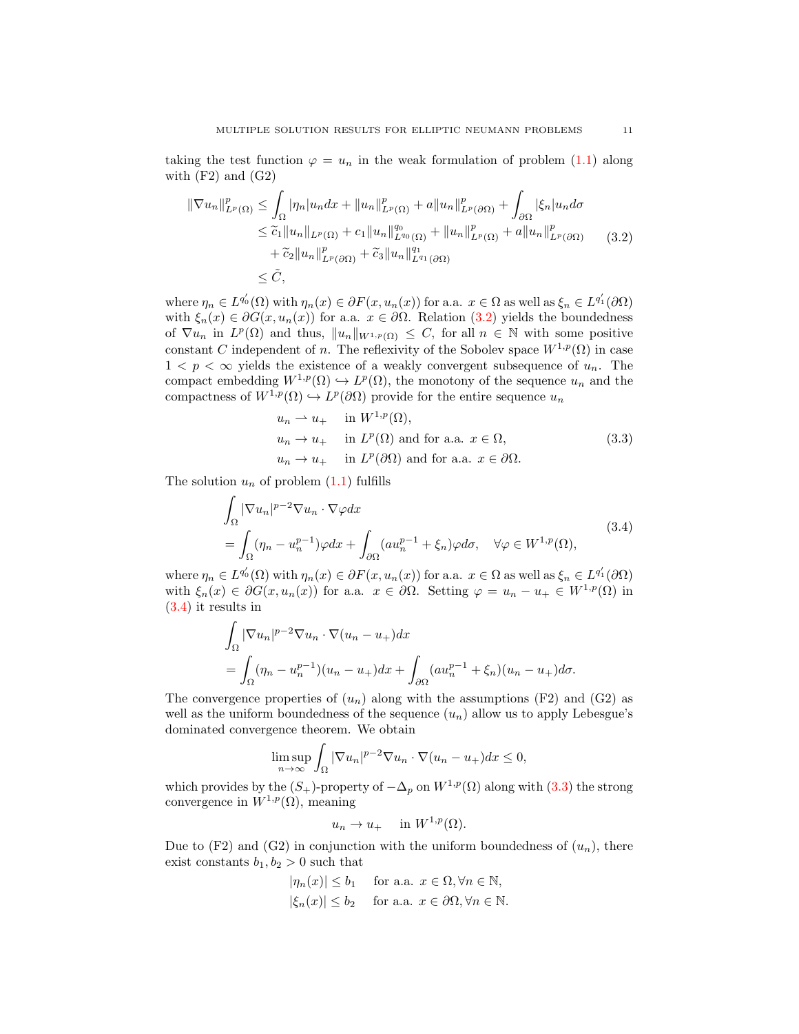taking the test function  $\varphi = u_n$  in the weak formulation of problem [\(1.1\)](#page-0-1) along with  $(F2)$  and  $(G2)$ 

$$
\|\nabla u_{n}\|_{L^{p}(\Omega)}^{p} \leq \int_{\Omega} |\eta_{n}| u_{n} dx + \|u_{n}\|_{L^{p}(\Omega)}^{p} + a \|u_{n}\|_{L^{p}(\partial\Omega)}^{p} + \int_{\partial\Omega} |\xi_{n}| u_{n} d\sigma
$$
  
\n
$$
\leq \tilde{c}_{1} \|u_{n}\|_{L^{p}(\Omega)} + c_{1} \|u_{n}\|_{L^{q_{0}}(\Omega)}^{q_{0}} + \|u_{n}\|_{L^{p}(\Omega)}^{p} + a \|u_{n}\|_{L^{p}(\partial\Omega)}^{p}
$$
  
\n
$$
+ \tilde{c}_{2} \|u_{n}\|_{L^{p}(\partial\Omega)}^{p} + \tilde{c}_{3} \|u_{n}\|_{L^{q_{1}}(\partial\Omega)}^{q_{1}}
$$
  
\n
$$
\leq \tilde{C}, \qquad (3.2)
$$

where  $\eta_n \in L^{q'_0}(\Omega)$  with  $\eta_n(x) \in \partial F(x, u_n(x))$  for a.a.  $x \in \Omega$  as well as  $\xi_n \in L^{q'_1}(\partial \Omega)$ with  $\xi_n(x) \in \partial G(x, u_n(x))$  for a.a.  $x \in \partial \Omega$ . Relation [\(3.2\)](#page-10-0) yields the boundedness of  $\nabla u_n$  in  $L^p(\Omega)$  and thus,  $||u_n||_{W^{1,p}(\Omega)} \leq C$ , for all  $n \in \mathbb{N}$  with some positive constant C independent of n. The reflexivity of the Sobolev space  $W^{1,p}(\Omega)$  in case  $1 < p < \infty$  yields the existence of a weakly convergent subsequence of  $u_n$ . The compact embedding  $W^{1,p}(\Omega) \hookrightarrow L^p(\Omega)$ , the monotony of the sequence  $u_n$  and the compactness of  $W^{1,p}(\Omega) \hookrightarrow L^p(\partial\Omega)$  provide for the entire sequence  $u_n$ 

<span id="page-10-2"></span><span id="page-10-1"></span><span id="page-10-0"></span>
$$
u_n \rightharpoonup u_+ \quad \text{in } W^{1,p}(\Omega),
$$
  
\n
$$
u_n \rightharpoonup u_+ \quad \text{in } L^p(\Omega) \text{ and for a.a. } x \in \Omega,
$$
  
\n
$$
u_n \rightharpoonup u_+ \quad \text{in } L^p(\partial\Omega) \text{ and for a.a. } x \in \partial\Omega.
$$
\n(3.3)

The solution  $u_n$  of problem  $(1.1)$  fulfills

$$
\int_{\Omega} |\nabla u_n|^{p-2} \nabla u_n \cdot \nabla \varphi dx
$$
\n
$$
= \int_{\Omega} (\eta_n - u_n^{p-1}) \varphi dx + \int_{\partial \Omega} (au_n^{p-1} + \xi_n) \varphi d\sigma, \quad \forall \varphi \in W^{1,p}(\Omega),
$$
\n(3.4)

where  $\eta_n \in L^{q'_0}(\Omega)$  with  $\eta_n(x) \in \partial F(x, u_n(x))$  for a.a.  $x \in \Omega$  as well as  $\xi_n \in L^{q'_1}(\partial \Omega)$ with  $\xi_n(x) \in \partial G(x, u_n(x))$  for a.a.  $x \in \partial \Omega$ . Setting  $\varphi = u_n - u_+ \in W^{1,p}(\Omega)$  in [\(3.4\)](#page-10-1) it results in

$$
\int_{\Omega} |\nabla u_n|^{p-2} \nabla u_n \cdot \nabla (u_n - u_+) dx
$$
  
= 
$$
\int_{\Omega} (\eta_n - u_n^{p-1})(u_n - u_+) dx + \int_{\partial \Omega} (au_n^{p-1} + \xi_n)(u_n - u_+) d\sigma.
$$

The convergence properties of  $(u_n)$  along with the assumptions (F2) and (G2) as well as the uniform boundedness of the sequence  $(u_n)$  allow us to apply Lebesgue's dominated convergence theorem. We obtain

$$
\limsup_{n \to \infty} \int_{\Omega} |\nabla u_n|^{p-2} \nabla u_n \cdot \nabla (u_n - u_+) dx \le 0,
$$

which provides by the  $(S_+)$ -property of  $-\Delta_p$  on  $W^{1,p}(\Omega)$  along with [\(3.3\)](#page-10-2) the strong convergence in  $W^{1,p}(\Omega)$ , meaning

$$
u_n \to u_+ \quad \text{in } W^{1,p}(\Omega).
$$

Due to  $(F2)$  and  $(G2)$  in conjunction with the uniform boundedness of  $(u_n)$ , there exist constants  $b_1, b_2 > 0$  such that

$$
|\eta_n(x)| \le b_1 \quad \text{ for a.a. } x \in \Omega, \forall n \in \mathbb{N},
$$
  

$$
|\xi_n(x)| \le b_2 \quad \text{ for a.a. } x \in \partial\Omega, \forall n \in \mathbb{N}.
$$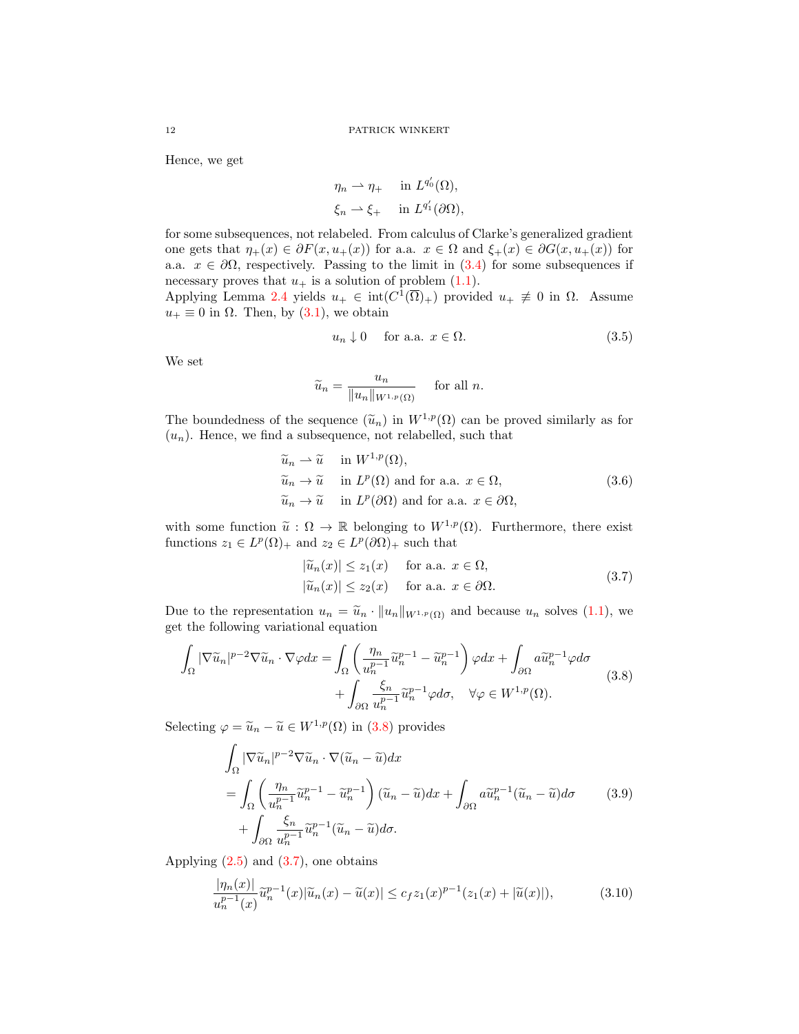Hence, we get

$$
\eta_n \rightharpoonup \eta_+ \quad \text{ in } L^{q'_0}(\Omega),
$$
  

$$
\xi_n \rightharpoonup \xi_+ \quad \text{ in } L^{q'_1}(\partial \Omega),
$$

<span id="page-11-5"></span> $\overline{1}$ 

for some subsequences, not relabeled. From calculus of Clarke's generalized gradient one gets that  $\eta_+(x) \in \partial F(x, u_+(x))$  for a.a.  $x \in \Omega$  and  $\xi_+(x) \in \partial G(x, u_+(x))$  for a.a.  $x \in \partial\Omega$ , respectively. Passing to the limit in  $(3.4)$  for some subsequences if necessary proves that  $u_+$  is a solution of problem  $(1.1)$ .

Applying Lemma [2.4](#page-8-2) yields  $u_+ \in \text{int}(C^1(\overline{\Omega})_+)$  provided  $u_+ \neq 0$  in  $\Omega$ . Assume  $u_+ \equiv 0$  in  $\Omega$ . Then, by  $(3.1)$ , we obtain

<span id="page-11-3"></span>
$$
u_n \downarrow 0 \quad \text{ for a.a. } x \in \Omega. \tag{3.5}
$$

We set

$$
\widetilde{u}_n = \frac{u_n}{\|u_n\|_{W^{1,p}(\Omega)}} \quad \text{ for all } n.
$$

The boundedness of the sequence  $(\widetilde{u}_n)$  in  $W^{1,p}(\Omega)$  can be proved similarly as for  $(u_n)$ . Hence, we find a subsequence, not relabelled, such that

$$
\widetilde{u}_n \rightharpoonup \widetilde{u} \quad \text{in } W^{1,p}(\Omega), \n\widetilde{u}_n \rightharpoonup \widetilde{u} \quad \text{in } L^p(\Omega) \text{ and for a.a. } x \in \Omega, \n\widetilde{u}_n \rightharpoonup \widetilde{u} \quad \text{in } L^p(\partial \Omega) \text{ and for a.a. } x \in \partial \Omega,
$$
\n(3.6)

with some function  $\tilde{u}: \Omega \to \mathbb{R}$  belonging to  $W^{1,p}(\Omega)$ . Furthermore, there exist functions  $z_1 \in L^p(\Omega)_+$  and  $z_2 \in L^p(\partial\Omega)_+$  such that

<span id="page-11-4"></span><span id="page-11-1"></span><span id="page-11-0"></span>
$$
|\widetilde{u}_n(x)| \le z_1(x) \quad \text{for a.a. } x \in \Omega,
$$
  

$$
|\widetilde{u}_n(x)| \le z_2(x) \quad \text{for a.a. } x \in \partial\Omega.
$$
 (3.7)

Due to the representation  $u_n = \tilde{u}_n \cdot ||u_n||_{W^{1,p}(\Omega)}$  and because  $u_n$  solves [\(1.1\)](#page-0-1), we get the following variational equation

$$
\int_{\Omega} |\nabla \widetilde{u}_n|^{p-2} \nabla \widetilde{u}_n \cdot \nabla \varphi dx = \int_{\Omega} \left( \frac{\eta_n}{u_n^{p-1}} \widetilde{u}_n^{p-1} - \widetilde{u}_n^{p-1} \right) \varphi dx + \int_{\partial \Omega} a \widetilde{u}_n^{p-1} \varphi d\sigma + \int_{\partial \Omega} \frac{\xi_n}{u_n^{p-1}} \widetilde{u}_n^{p-1} \varphi d\sigma, \quad \forall \varphi \in W^{1,p}(\Omega).
$$
\n(3.8)

Selecting  $\varphi = \tilde{u}_n - \tilde{u} \in W^{1,p}(\Omega)$  in [\(3.8\)](#page-11-0) provides

$$
\int_{\Omega} |\nabla \widetilde{u}_n|^{p-2} \nabla \widetilde{u}_n \cdot \nabla (\widetilde{u}_n - \widetilde{u}) dx \n= \int_{\Omega} \left( \frac{\eta_n}{u_n^{p-1}} \widetilde{u}_n^{p-1} - \widetilde{u}_n^{p-1} \right) (\widetilde{u}_n - \widetilde{u}) dx + \int_{\partial \Omega} a \widetilde{u}_n^{p-1} (\widetilde{u}_n - \widetilde{u}) d\sigma \n+ \int_{\partial \Omega} \frac{\xi_n}{u_n^{p-1}} \widetilde{u}_n^{p-1} (\widetilde{u}_n - \widetilde{u}) d\sigma.
$$
\n(3.9)

Applying  $(2.5)$  and  $(3.7)$ , one obtains

<span id="page-11-2"></span>
$$
\frac{|\eta_n(x)|}{u_n^{p-1}(x)}\tilde{u}_n^{p-1}(x)|\tilde{u}_n(x) - \tilde{u}(x)| \le c_f z_1(x)^{p-1}(z_1(x) + |\tilde{u}(x)|),\tag{3.10}
$$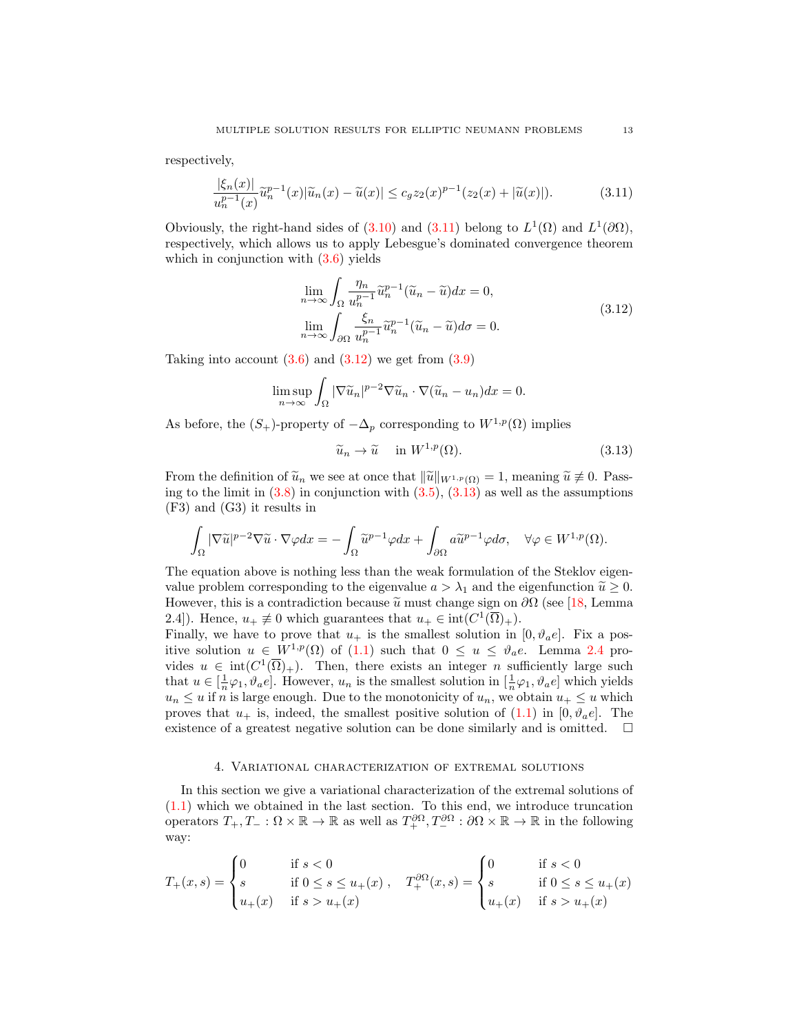respectively,

$$
\frac{|\xi_n(x)|}{u_n^{p-1}(x)}\tilde{u}_n^{p-1}(x)|\tilde{u}_n(x) - \tilde{u}(x)| \le c_g z_2(x)^{p-1}(z_2(x) + |\tilde{u}(x)|). \tag{3.11}
$$

Obviously, the right-hand sides of  $(3.10)$  and  $(3.11)$  belong to  $L^1(\Omega)$  and  $L^1(\partial\Omega)$ , respectively, which allows us to apply Lebesgue's dominated convergence theorem which in conjunction with  $(3.6)$  yields

<span id="page-12-1"></span><span id="page-12-0"></span>
$$
\lim_{n \to \infty} \int_{\Omega} \frac{\eta_n}{u_n^{p-1}} \tilde{u}_n^{p-1} (\tilde{u}_n - \tilde{u}) dx = 0,
$$
\n
$$
\lim_{n \to \infty} \int_{\partial \Omega} \frac{\xi_n}{u_n^{p-1}} \tilde{u}_n^{p-1} (\tilde{u}_n - \tilde{u}) d\sigma = 0.
$$
\n(3.12)

Taking into account  $(3.6)$  and  $(3.12)$  we get from  $(3.9)$ 

$$
\limsup_{n \to \infty} \int_{\Omega} |\nabla \widetilde{u}_n|^{p-2} \nabla \widetilde{u}_n \cdot \nabla (\widetilde{u}_n - u_n) dx = 0.
$$

As before, the  $(S_+)$ -property of  $-\Delta_p$  corresponding to  $W^{1,p}(\Omega)$  implies

<span id="page-12-2"></span>
$$
\widetilde{u}_n \to \widetilde{u} \quad \text{ in } W^{1,p}(\Omega). \tag{3.13}
$$

From the definition of  $\tilde{u}_n$  we see at once that  $\|\tilde{u}\|_{W^{1,p}(\Omega)} = 1$ , meaning  $\tilde{u} \not\equiv 0$ . Passing to the limit in  $(3.8)$  in conjunction with  $(3.5)$ ,  $(3.13)$  as well as the assumptions (F3) and (G3) it results in

$$
\int_{\Omega} |\nabla \widetilde{u}|^{p-2} \nabla \widetilde{u} \cdot \nabla \varphi dx = -\int_{\Omega} \widetilde{u}^{p-1} \varphi dx + \int_{\partial \Omega} a \widetilde{u}^{p-1} \varphi d\sigma, \quad \forall \varphi \in W^{1,p}(\Omega).
$$

The equation above is nothing less than the weak formulation of the Steklov eigenvalue problem corresponding to the eigenvalue  $a > \lambda_1$  and the eigenfunction  $\tilde{u} \geq 0$ . However, this is a contradiction because  $\tilde{u}$  must change sign on  $\partial\Omega$  (see [\[18,](#page-17-18) Lemma 2.4]). Hence,  $u_+ \neq 0$  which guarantees that  $u_+ \in \text{int}(C^1(\overline{\Omega})_+).$ 

Finally, we have to prove that  $u_+$  is the smallest solution in  $[0, \vartheta_a e]$ . Fix a positive solution  $u \in W^{1,p}(\Omega)$  of [\(1.1\)](#page-0-1) such that  $0 \leq u \leq \vartheta_a e$ . Lemma [2.4](#page-8-2) provides  $u \in \text{int}(C^1(\overline{\Omega})_+)$ . Then, there exists an integer *n* sufficiently large such that  $u \in [\frac{1}{n}\varphi_1, \vartheta_a e]$ . However,  $u_n$  is the smallest solution in  $[\frac{1}{n}\varphi_1, \vartheta_a e]$  which yields  $u_n \leq u$  if n is large enough. Due to the monotonicity of  $u_n$ , we obtain  $u_+ \leq u$  which proves that  $u_+$  is, indeed, the smallest positive solution of [\(1.1\)](#page-0-1) in [0,  $\vartheta_a e$ ]. The existence of a greatest negative solution can be done similarly and is omitted.  $\square$ 

## 4. Variational characterization of extremal solutions

In this section we give a variational characterization of the extremal solutions of [\(1.1\)](#page-0-1) which we obtained in the last section. To this end, we introduce truncation operators  $T_+, T_- : \Omega \times \mathbb{R} \to \mathbb{R}$  as well as  $T_+^{\partial\Omega}, T_-^{\partial\Omega} : \partial\Omega \times \mathbb{R} \to \mathbb{R}$  in the following way:

$$
T_{+}(x,s) = \begin{cases} 0 & \text{if } s < 0 \\ s & \text{if } 0 \le s \le u_{+}(x) \\ u_{+}(x) & \text{if } s > u_{+}(x) \end{cases}, \quad T_{+}^{\partial\Omega}(x,s) = \begin{cases} 0 & \text{if } s < 0 \\ s & \text{if } 0 \le s \le u_{+}(x) \\ u_{+}(x) & \text{if } s > u_{+}(x) \end{cases}
$$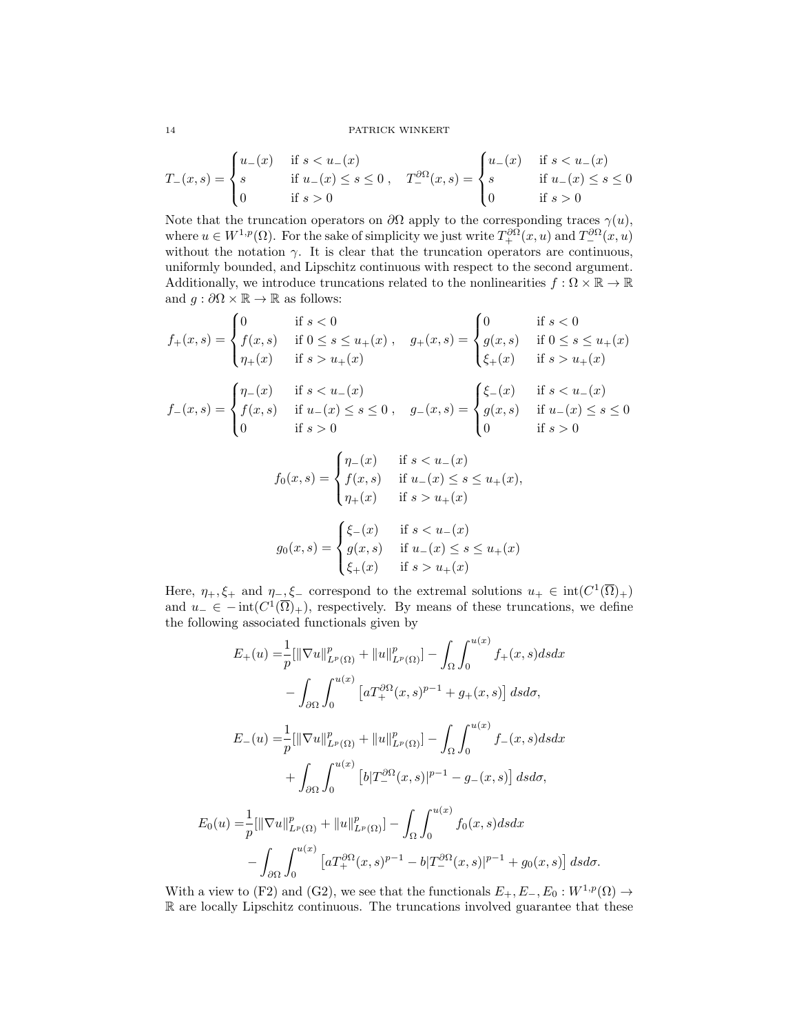### 14 PATRICK WINKERT

$$
T_{-}(x,s) = \begin{cases} u_{-}(x) & \text{if } s < u_{-}(x) \\ s & \text{if } u_{-}(x) \le s \le 0 \\ 0 & \text{if } s > 0 \end{cases}, \quad T_{-}^{\partial\Omega}(x,s) = \begin{cases} u_{-}(x) & \text{if } s < u_{-}(x) \\ s & \text{if } u_{-}(x) \le s \le 0 \\ 0 & \text{if } s > 0 \end{cases}
$$

Note that the truncation operators on  $\partial\Omega$  apply to the corresponding traces  $\gamma(u)$ , where  $u \in W^{1,p}(\Omega)$ . For the sake of simplicity we just write  $T^{\partial\Omega}_+(x,u)$  and  $T^{\partial\Omega}_-(x,u)$ without the notation  $\gamma$ . It is clear that the truncation operators are continuous, uniformly bounded, and Lipschitz continuous with respect to the second argument. Additionally, we introduce truncations related to the nonlinearities  $f : \Omega \times \mathbb{R} \to \mathbb{R}$ and  $g : \partial\Omega \times \mathbb{R} \to \mathbb{R}$  as follows:

$$
f_{+}(x,s) = \begin{cases} 0 & \text{if } s < 0 \\ f(x,s) & \text{if } 0 \le s \le u_{+}(x) \\ \eta_{+}(x) & \text{if } s > u_{+}(x) \end{cases}, \quad g_{+}(x,s) = \begin{cases} 0 & \text{if } s < 0 \\ g(x,s) & \text{if } 0 \le s \le u_{+}(x) \\ \xi_{+}(x) & \text{if } s > u_{+}(x) \end{cases}
$$

$$
f_{-}(x,s) = \begin{cases} \eta_{-}(x) & \text{if } s < u_{-}(x) \\ f(x,s) & \text{if } u_{-}(x) \le s \le 0 \\ 0 & \text{if } s > 0 \end{cases}, \quad g_{-}(x,s) = \begin{cases} \xi_{-}(x) & \text{if } s < u_{-}(x) \\ g(x,s) & \text{if } u_{-}(x) \le s \le 0 \\ 0 & \text{if } s > 0 \end{cases}
$$

$$
f_0(x, s) = \begin{cases} \eta_{-}(x) & \text{if } s < u_{-}(x) \\ f(x, s) & \text{if } u_{-}(x) \le s \le u_{+}(x), \\ \eta_{+}(x) & \text{if } s > u_{+}(x) \end{cases}
$$

$$
g_0(x, s) = \begin{cases} \xi_{-}(x) & \text{if } s < u_{-}(x) \\ g(x, s) & \text{if } u_{-}(x) \le s \le u_{+}(x) \\ \xi_{+}(x) & \text{if } s > u_{+}(x) \end{cases}
$$

Here,  $\eta_+,\xi_+$  and  $\eta_-, \xi_-$  correspond to the extremal solutions  $u_+ \in \text{int}(C^1(\overline{\Omega})_+)$ and  $u_{-} \in -\text{int}(C^1(\overline{\Omega})_{+})$ , respectively. By means of these truncations, we define the following associated functionals given by

$$
E_{+}(u) = \frac{1}{p} [\|\nabla u\|_{L^{p}(\Omega)}^{p} + \|u\|_{L^{p}(\Omega)}^{p}] - \int_{\Omega} \int_{0}^{u(x)} f_{+}(x, s) ds dx
$$
  

$$
- \int_{\partial\Omega} \int_{0}^{u(x)} \left[ a T_{+}^{\partial\Omega}(x, s)^{p-1} + g_{+}(x, s) \right] ds d\sigma,
$$
  

$$
E_{-}(u) = \frac{1}{p} [\|\nabla u\|_{L^{p}(\Omega)}^{p} + \|u\|_{L^{p}(\Omega)}^{p}] - \int_{\Omega} \int_{0}^{u(x)} f_{-}(x, s) ds dx
$$
  

$$
+ \int_{\partial\Omega} \int_{0}^{u(x)} \left[ b |T_{-}^{\partial\Omega}(x, s)|^{p-1} - g_{-}(x, s) \right] ds d\sigma,
$$
  

$$
E_{0}(u) = \frac{1}{p} [\|\nabla u\|_{L^{p}(\Omega)}^{p} + \|u\|_{L^{p}(\Omega)}^{p}] - \int_{\Omega} \int_{0}^{u(x)} f_{0}(x, s) ds dx
$$
  

$$
- \int_{\partial\Omega} \int_{0}^{u(x)} \left[ a T_{+}^{\partial\Omega}(x, s)^{p-1} - b |T_{-}^{\partial\Omega}(x, s)|^{p-1} + g_{0}(x, s) \right] ds d\sigma.
$$

With a view to (F2) and (G2), we see that the functionals  $E_+, E_-, E_0 : W^{1,p}(\Omega) \to$ R are locally Lipschitz continuous. The truncations involved guarantee that these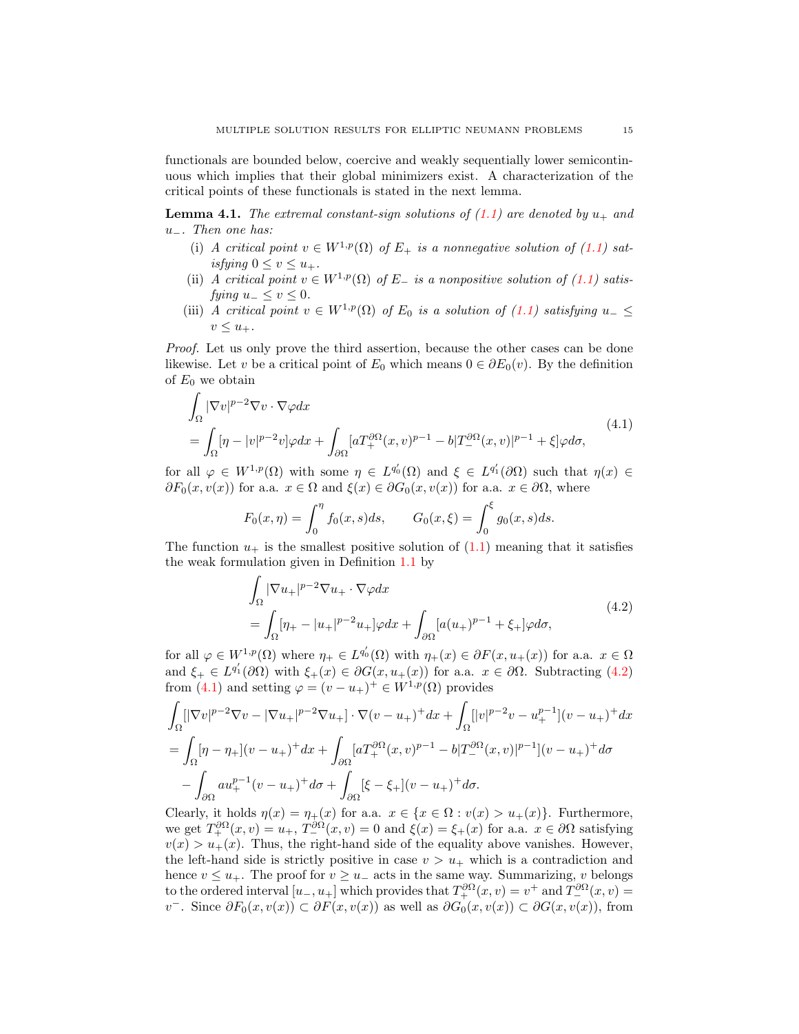functionals are bounded below, coercive and weakly sequentially lower semicontinuous which implies that their global minimizers exist. A characterization of the critical points of these functionals is stated in the next lemma.

<span id="page-14-2"></span>**Lemma 4.1.** The extremal constant-sign solutions of  $(1.1)$  are denoted by  $u_+$  and u−. Then one has:

- (i) A critical point  $v \in W^{1,p}(\Omega)$  of  $E_+$  is a nonnegative solution of [\(1.1\)](#page-0-1) satisfying  $0 \leq v \leq u_{+}$ .
- (ii) A critical point  $v \in W^{1,p}(\Omega)$  of E<sub> $-$  is a nonpositive solution of (1.1) satisfies $-$  is a nonpositive solution of (1.1) satisfies $-$  is a nonpositive solution of (1.1) satisfiesfying  $u_-\leq v\leq 0$ .
- (iii) A critical point  $v \in W^{1,p}(\Omega)$  of  $E_0$  is a solution of [\(1.1\)](#page-0-1) satisfying  $u_$  $v \leq u_+$ .

Proof. Let us only prove the third assertion, because the other cases can be done likewise. Let v be a critical point of  $E_0$  which means  $0 \in \partial E_0(v)$ . By the definition of  $E_0$  we obtain

$$
\int_{\Omega} |\nabla v|^{p-2} \nabla v \cdot \nabla \varphi dx
$$
\n
$$
= \int_{\Omega} [\eta - |v|^{p-2} v] \varphi dx + \int_{\partial \Omega} [aT_+^{\partial \Omega} (x, v)^{p-1} - b] T_-^{\partial \Omega} (x, v)|^{p-1} + \xi] \varphi d\sigma,
$$
\n(4.1)

for all  $\varphi \in W^{1,p}(\Omega)$  with some  $\eta \in L^{q'_0}(\Omega)$  and  $\xi \in L^{q'_1}(\partial \Omega)$  such that  $\eta(x) \in$  $\partial F_0(x, v(x))$  for a.a.  $x \in \Omega$  and  $\xi(x) \in \partial G_0(x, v(x))$  for a.a.  $x \in \partial \Omega$ , where

<span id="page-14-1"></span>
$$
F_0(x,\eta) = \int_0^{\eta} f_0(x,s)ds, \qquad G_0(x,\xi) = \int_0^{\xi} g_0(x,s)ds.
$$

The function  $u_+$  is the smallest positive solution of  $(1.1)$  meaning that it satisfies the weak formulation given in Definition [1.1](#page-1-2) by

<span id="page-14-0"></span>
$$
\int_{\Omega} |\nabla u_{+}|^{p-2} \nabla u_{+} \cdot \nabla \varphi dx
$$
\n
$$
= \int_{\Omega} [\eta_{+} - |u_{+}|^{p-2} u_{+}] \varphi dx + \int_{\partial \Omega} [a(u_{+})^{p-1} + \xi_{+}] \varphi d\sigma,
$$
\n(4.2)

for all  $\varphi \in W^{1,p}(\Omega)$  where  $\eta_+ \in L^{q_0'}(\Omega)$  with  $\eta_+(x) \in \partial F(x, u_+(x))$  for a.a.  $x \in \Omega$ and  $\xi_+ \in L^{q'_1}(\partial\Omega)$  with  $\xi_+(x) \in \partial G(x, u_+(x))$  for a.a.  $x \in \partial\Omega$ . Subtracting [\(4.2\)](#page-14-0) from [\(4.1\)](#page-14-1) and setting  $\varphi = (v - u_+)^\perp \in W^{1,p}(\Omega)$  provides

$$
\int_{\Omega} [|\nabla v|^{p-2} \nabla v - |\nabla u_+|^{p-2} \nabla u_+] \cdot \nabla (v - u_+)^+ dx + \int_{\Omega} [|v|^{p-2} v - u_+^{p-1}] (v - u_+)^+ dx
$$
  
= 
$$
\int_{\Omega} [\eta - \eta_+] (v - u_+)^+ dx + \int_{\partial \Omega} [a T_+^{\partial \Omega} (x, v)^{p-1} - b] T_-^{\partial \Omega} (x, v)|^{p-1}] (v - u_+)^+ d\sigma
$$
  
- 
$$
\int_{\partial \Omega} a u_+^{p-1} (v - u_+)^+ d\sigma + \int_{\partial \Omega} [\xi - \xi_+] (v - u_+)^+ d\sigma.
$$

Clearly, it holds  $\eta(x) = \eta_+(x)$  for a.a.  $x \in \{x \in \Omega : v(x) > u_+(x)\}\.$  Furthermore, we get  $T_+^{\partial\Omega}(x,v) = u_+, T_-^{\partial\Omega}(x,v) = 0$  and  $\xi(x) = \xi_+(x)$  for a.a.  $x \in \partial\Omega$  satisfying  $v(x) > u_+(x)$ . Thus, the right-hand side of the equality above vanishes. However, the left-hand side is strictly positive in case  $v > u_+$  which is a contradiction and hence  $v \leq u_+$ . The proof for  $v \geq u_-$  acts in the same way. Summarizing, v belongs to the ordered interval  $[u_-, u_+]$  which provides that  $T_+^{\partial\Omega}(x, v) = v^+$  and  $T_-^{\partial\Omega}(x, v) = v^+$ v<sup>-</sup>. Since  $\partial F_0(x, v(x)) \subset \partial F(x, v(x))$  as well as  $\partial G_0(x, v(x)) \subset \partial G(x, v(x))$ , from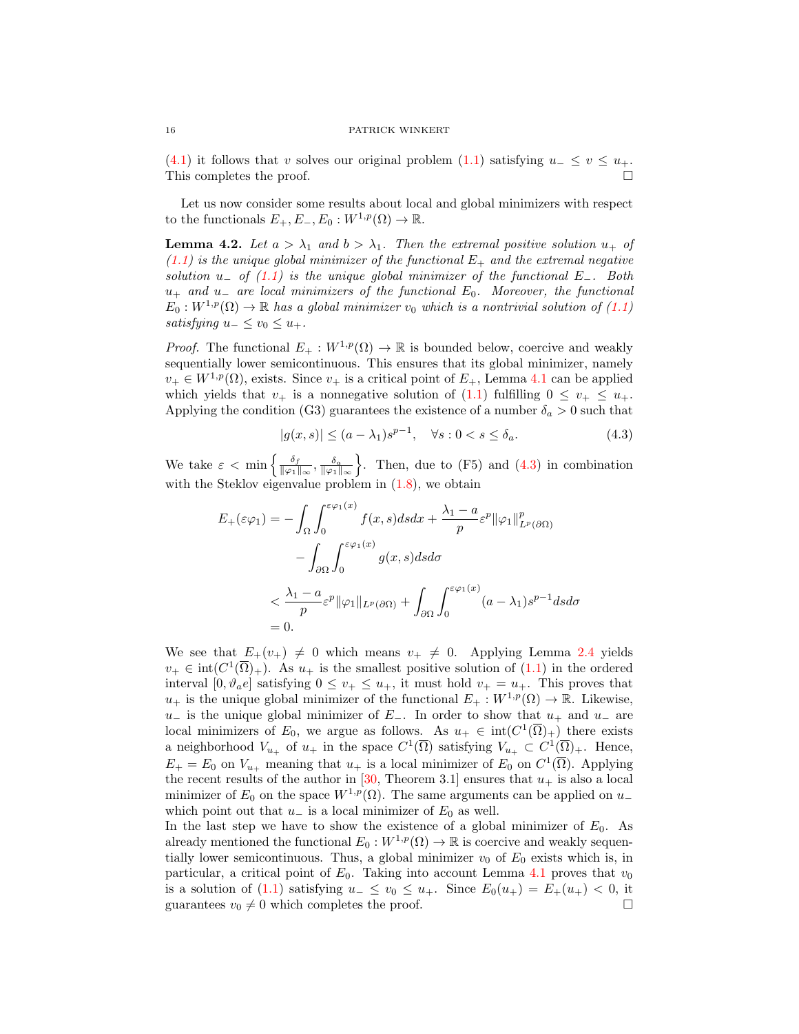[\(4.1\)](#page-14-1) it follows that v solves our original problem [\(1.1\)](#page-0-1) satisfying  $u_-\leq v \leq u_+$ . This completes the proof.

Let us now consider some results about local and global minimizers with respect to the functionals  $E_+, E_-, E_0 : W^{1,p}(\Omega) \to \mathbb{R}$ .

<span id="page-15-1"></span>**Lemma 4.2.** Let  $a > \lambda_1$  and  $b > \lambda_1$ . Then the extremal positive solution  $u_+$  of  $(1.1)$  is the unique global minimizer of the functional  $E_{+}$  and the extremal negative solution u<sub>−</sub> of  $(1.1)$  is the unique global minimizer of the functional E<sub>−</sub>. Both  $u_{+}$  and  $u_{-}$  are local minimizers of the functional  $E_{0}$ . Moreover, the functional  $E_0: W^{1,p}(\Omega) \to \mathbb{R}$  has a global minimizer  $v_0$  which is a nontrivial solution of  $(1.1)$ satisfying  $u_-\leq v_0\leq u_+$ .

*Proof.* The functional  $E_+ : W^{1,p}(\Omega) \to \mathbb{R}$  is bounded below, coercive and weakly sequentially lower semicontinuous. This ensures that its global minimizer, namely  $v_+ \in W^{1,p}(\Omega)$ , exists. Since  $v_+$  is a critical point of  $E_+$ , Lemma [4.1](#page-14-2) can be applied which yields that  $v_+$  is a nonnegative solution of [\(1.1\)](#page-0-1) fulfilling  $0 \le v_+ \le u_+$ . Applying the condition (G3) guarantees the existence of a number  $\delta_a > 0$  such that

<span id="page-15-0"></span>
$$
|g(x,s)| \le (a - \lambda_1)s^{p-1}, \quad \forall s : 0 < s \le \delta_a. \tag{4.3}
$$

We take  $\varepsilon < \min \left\{ \frac{\delta_f}{\log n} \right\}$  $\frac{\delta_f}{\|\varphi_1\|_{\infty}}, \frac{\delta_a}{\|\varphi_1\|_{\infty}}\bigg\}$ . Then, due to (F5) and [\(4.3\)](#page-15-0) in combination with the Steklov eigenvalue problem in  $(1.8)$ , we obtain

$$
E_{+}(\varepsilon \varphi_{1}) = -\int_{\Omega} \int_{0}^{\varepsilon \varphi_{1}(x)} f(x, s) ds dx + \frac{\lambda_{1} - a}{p} \varepsilon^{p} ||\varphi_{1}||_{L^{p}(\partial \Omega)}^{p}
$$

$$
- \int_{\partial \Omega} \int_{0}^{\varepsilon \varphi_{1}(x)} g(x, s) ds d\sigma
$$

$$
< \frac{\lambda_{1} - a}{p} \varepsilon^{p} ||\varphi_{1}||_{L^{p}(\partial \Omega)} + \int_{\partial \Omega} \int_{0}^{\varepsilon \varphi_{1}(x)} (a - \lambda_{1}) s^{p-1} ds d\sigma
$$

$$
= 0.
$$

We see that  $E_+(v_+) \neq 0$  which means  $v_+ \neq 0$ . Applying Lemma [2.4](#page-8-2) yields  $v_+ \in \text{int}(C^1(\overline{\Omega})_+)$ . As  $u_+$  is the smallest positive solution of  $(1.1)$  in the ordered interval  $[0, \vartheta_a e]$  satisfying  $0 \le v_+ \le u_+$ , it must hold  $v_+ = u_+$ . This proves that  $u_+$  is the unique global minimizer of the functional  $E_+ : W^{1,p}(\Omega) \to \mathbb{R}$ . Likewise,  $u_$  is the unique global minimizer of  $E_$ . In order to show that  $u_+$  and  $u_−$  are local minimizers of  $E_0$ , we argue as follows. As  $u_+ \in \text{int}(C^1(\overline{\Omega})_+)$  there exists a neighborhood  $V_{u_+}$  of  $u_+$  in the space  $C^1(\overline{\Omega})$  satisfying  $V_{u_+} \subset C^1(\overline{\Omega})_+$ . Hence,  $E_+ = E_0$  on  $V_{u_+}$  meaning that  $u_+$  is a local minimizer of  $E_0$  on  $C^1(\overline{\Omega})$ . Applying the recent results of the author in [\[30,](#page-17-6) Theorem 3.1] ensures that  $u_+$  is also a local minimizer of  $E_0$  on the space  $W^{1,p}(\Omega)$ . The same arguments can be applied on u\_ which point out that  $u_-\$  is a local minimizer of  $E_0$  as well.

In the last step we have to show the existence of a global minimizer of  $E_0$ . As already mentioned the functional  $E_0 : W^{1,p}(\Omega) \to \mathbb{R}$  is coercive and weakly sequentially lower semicontinuous. Thus, a global minimizer  $v_0$  of  $E_0$  exists which is, in particular, a critical point of  $E_0$ . Taking into account Lemma [4.1](#page-14-2) proves that  $v_0$ is a solution of  $(1.1)$  satisfying  $u_-\leq v_0\leq u_+$ . Since  $E_0(u_+) = E_+(u_+) < 0$ , it guarantees  $v_0 \neq 0$  which completes the proof.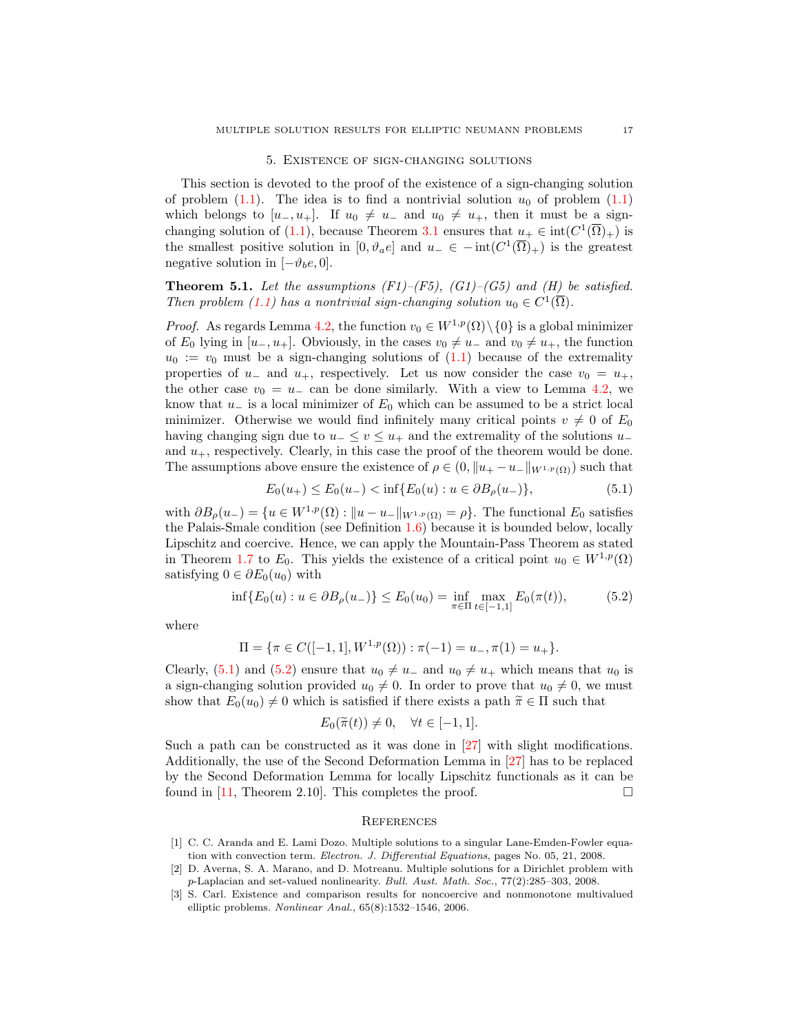### 5. Existence of sign-changing solutions

This section is devoted to the proof of the existence of a sign-changing solution of problem [\(1.1\)](#page-0-1). The idea is to find a nontrivial solution  $u_0$  of problem (1.1) which belongs to  $[u_-, u_+]$ . If  $u_0 \neq u_-$  and  $u_0 \neq u_+$ , then it must be a sign-changing solution of [\(1.1\)](#page-0-1), because Theorem [3.1](#page-9-2) ensures that  $u_+ \in \text{int}(C^1(\overline{\Omega})_+)$  is the smallest positive solution in  $[0, \vartheta_a e]$  and  $u_- \in -\text{int}(C^1(\overline{\Omega})_+)$  is the greatest negative solution in  $[-\vartheta_b e, 0]$ .

<span id="page-16-1"></span>**Theorem 5.1.** Let the assumptions (F1)–(F5), (G1)–(G5) and (H) be satisfied. Then problem [\(1.1\)](#page-0-1) has a nontrivial sign-changing solution  $u_0 \in C^1(\overline{\Omega})$ .

*Proof.* As regards Lemma [4.2,](#page-15-1) the function  $v_0 \in W^{1,p}(\Omega) \setminus \{0\}$  is a global minimizer of  $E_0$  lying in  $[u_-, u_+]$ . Obviously, in the cases  $v_0 \neq u_-$  and  $v_0 \neq u_+$ , the function  $u_0 := v_0$  must be a sign-changing solutions of  $(1.1)$  because of the extremality properties of u<sub>-</sub> and u<sub>+</sub>, respectively. Let us now consider the case  $v_0 = u_+$ , the other case  $v_0 = u_-$  can be done similarly. With a view to Lemma [4.2,](#page-15-1) we know that  $u_$  is a local minimizer of  $E_0$  which can be assumed to be a strict local minimizer. Otherwise we would find infinitely many critical points  $v \neq 0$  of  $E_0$ having changing sign due to  $u_-\leq v\leq u_+$  and the extremality of the solutions  $u_$ and  $u_{+}$ , respectively. Clearly, in this case the proof of the theorem would be done. The assumptions above ensure the existence of  $\rho \in (0, \|u_+ - u_-\|_{W^{1,p}(\Omega)})$  such that

<span id="page-16-4"></span>
$$
E_0(u_+) \le E_0(u_-) < \inf \{ E_0(u) : u \in \partial B_\rho(u_-) \},\tag{5.1}
$$

with  $\partial B_{\rho}(u_{-}) = \{u \in W^{1,p}(\Omega) : ||u - u_{-}||_{W^{1,p}(\Omega)} = \rho\}.$  The functional  $E_0$  satisfies the Palais-Smale condition (see Definition [1.6\)](#page-5-1) because it is bounded below, locally Lipschitz and coercive. Hence, we can apply the Mountain-Pass Theorem as stated in Theorem [1.7](#page-5-2) to  $E_0$ . This yields the existence of a critical point  $u_0 \in W^{1,p}(\Omega)$ satisfying  $0 \in \partial E_0(u_0)$  with

$$
\inf \{ E_0(u) : u \in \partial B_\rho(u_-) \} \le E_0(u_0) = \inf_{\pi \in \Pi} \max_{t \in [-1,1]} E_0(\pi(t)), \tag{5.2}
$$

where

$$
\Pi = \{ \pi \in C([-1,1],W^{1,p}(\Omega)) : \pi(-1) = u_-, \pi(1) = u_+ \}.
$$

Clearly, [\(5.1\)](#page-16-4) and [\(5.2\)](#page-16-5) ensure that  $u_0 \neq u_-$  and  $u_0 \neq u_+$  which means that  $u_0$  is a sign-changing solution provided  $u_0 \neq 0$ . In order to prove that  $u_0 \neq 0$ , we must show that  $E_0(u_0) \neq 0$  which is satisfied if there exists a path  $\tilde{\pi} \in \Pi$  such that

<span id="page-16-5"></span>
$$
E_0(\widetilde{\pi}(t)) \neq 0, \quad \forall t \in [-1, 1].
$$

Such a path can be constructed as it was done in [\[27\]](#page-17-25) with slight modifications. Additionally, the use of the Second Deformation Lemma in [\[27\]](#page-17-25) has to be replaced by the Second Deformation Lemma for locally Lipschitz functionals as it can be found in [\[11,](#page-17-26) Theorem 2.10]. This completes the proof.  $\Box$ 

### **REFERENCES**

- <span id="page-16-0"></span>[1] C. C. Aranda and E. Lami Dozo. Multiple solutions to a singular Lane-Emden-Fowler equation with convection term. Electron. J. Differential Equations, pages No. 05, 21, 2008.
- <span id="page-16-2"></span>[2] D. Averna, S. A. Marano, and D. Motreanu. Multiple solutions for a Dirichlet problem with p-Laplacian and set-valued nonlinearity. Bull. Aust. Math. Soc., 77(2):285–303, 2008.
- <span id="page-16-3"></span>[3] S. Carl. Existence and comparison results for noncoercive and nonmonotone multivalued elliptic problems. Nonlinear Anal., 65(8):1532–1546, 2006.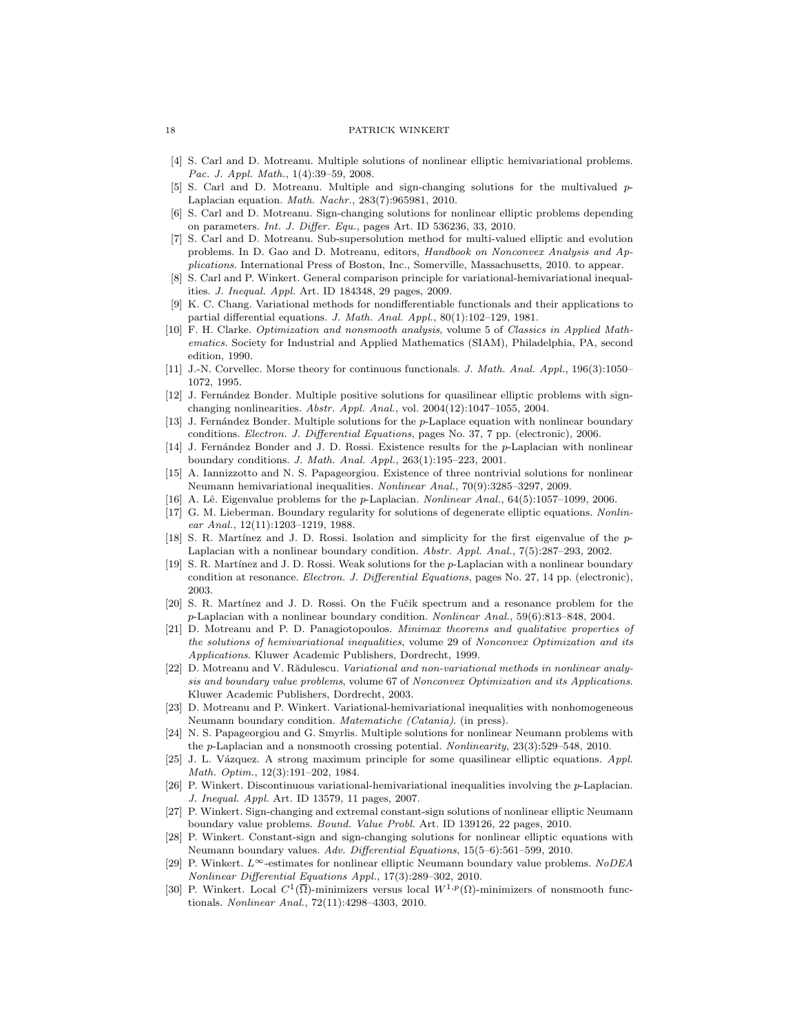#### 18 PATRICK WINKERT

- <span id="page-17-8"></span>[4] S. Carl and D. Motreanu. Multiple solutions of nonlinear elliptic hemivariational problems. Pac. J. Appl. Math., 1(4):39–59, 2008.
- <span id="page-17-9"></span>[5] S. Carl and D. Motreanu. Multiple and sign-changing solutions for the multivalued p-Laplacian equation. Math. Nachr., 283(7):965981, 2010.
- <span id="page-17-10"></span>[6] S. Carl and D. Motreanu. Sign-changing solutions for nonlinear elliptic problems depending on parameters. Int. J. Differ. Equ., pages Art. ID 536236, 33, 2010.
- <span id="page-17-23"></span>[7] S. Carl and D. Motreanu. Sub-supersolution method for multi-valued elliptic and evolution problems. In D. Gao and D. Motreanu, editors, Handbook on Nonconvex Analysis and Applications. International Press of Boston, Inc., Somerville, Massachusetts, 2010. to appear.
- <span id="page-17-14"></span>[8] S. Carl and P. Winkert. General comparison principle for variational-hemivariational inequalities. J. Inequal. Appl. Art. ID 184348, 29 pages, 2009.
- <span id="page-17-22"></span>[9] K. C. Chang. Variational methods for nondifferentiable functionals and their applications to partial differential equations. J. Math. Anal. Appl., 80(1):102–129, 1981.
- <span id="page-17-21"></span>[10] F. H. Clarke. Optimization and nonsmooth analysis, volume 5 of Classics in Applied Mathematics. Society for Industrial and Applied Mathematics (SIAM), Philadelphia, PA, second edition, 1990.
- <span id="page-17-26"></span>[11] J.-N. Corvellec. Morse theory for continuous functionals. J. Math. Anal. Appl., 196(3):1050– 1072, 1995.
- <span id="page-17-1"></span>[12] J. Fernández Bonder. Multiple positive solutions for quasilinear elliptic problems with signchanging nonlinearities. Abstr. Appl. Anal., vol. 2004(12):1047–1055, 2004.
- <span id="page-17-2"></span>[13] J. Fernández Bonder. Multiple solutions for the p-Laplace equation with nonlinear boundary conditions. Electron. J. Differential Equations, pages No. 37, 7 pp. (electronic), 2006.
- <span id="page-17-3"></span>[14] J. Fernández Bonder and J. D. Rossi. Existence results for the p-Laplacian with nonlinear boundary conditions. J. Math. Anal. Appl., 263(1):195–223, 2001.
- <span id="page-17-11"></span>[15] A. Iannizzotto and N. S. Papageorgiou. Existence of three nontrivial solutions for nonlinear Neumann hemivariational inequalities. Nonlinear Anal., 70(9):3285–3297, 2009.
- <span id="page-17-19"></span>[16] A. Lê. Eigenvalue problems for the p-Laplacian. Nonlinear Anal., 64(5):1057-1099, 2006.
- <span id="page-17-17"></span>[17] G. M. Lieberman. Boundary regularity for solutions of degenerate elliptic equations. Nonlinear Anal., 12(11):1203–1219, 1988.
- <span id="page-17-18"></span>[18] S. R. Martínez and J. D. Rossi. Isolation and simplicity for the first eigenvalue of the  $p$ -Laplacian with a nonlinear boundary condition.  $Abstr.$  Appl. Anal.,  $7(5)$ :287–293, 2002.
- <span id="page-17-4"></span>[19] S. R. Martínez and J. D. Rossi. Weak solutions for the p-Laplacian with a nonlinear boundary condition at resonance. Electron. J. Differential Equations, pages No. 27, 14 pp. (electronic), 2003.
- <span id="page-17-20"></span>[20] S. R. Martínez and J. D. Rossi. On the Fučik spectrum and a resonance problem for the p-Laplacian with a nonlinear boundary condition. Nonlinear Anal., 59(6):813–848, 2004.
- <span id="page-17-0"></span>[21] D. Motreanu and P. D. Panagiotopoulos. Minimax theorems and qualitative properties of the solutions of hemivariational inequalities, volume 29 of Nonconvex Optimization and its Applications. Kluwer Academic Publishers, Dordrecht, 1999.
- <span id="page-17-13"></span>D. Motreanu and V. Rădulescu. Variational and non-variational methods in nonlinear analysis and boundary value problems, volume 67 of Nonconvex Optimization and its Applications. Kluwer Academic Publishers, Dordrecht, 2003.
- <span id="page-17-15"></span>[23] D. Motreanu and P. Winkert. Variational-hemivariational inequalities with nonhomogeneous Neumann boundary condition. Matematiche (Catania). (in press).
- <span id="page-17-12"></span>[24] N. S. Papageorgiou and G. Smyrlis. Multiple solutions for nonlinear Neumann problems with the p-Laplacian and a nonsmooth crossing potential. Nonlinearity, 23(3):529–548, 2010.
- <span id="page-17-24"></span>[25] J. L. Vázquez. A strong maximum principle for some quasilinear elliptic equations. Appl. Math. Optim., 12(3):191–202, 1984.
- <span id="page-17-16"></span>[26] P. Winkert. Discontinuous variational-hemivariational inequalities involving the p-Laplacian. J. Inequal. Appl. Art. ID 13579, 11 pages, 2007.
- <span id="page-17-25"></span>[27] P. Winkert. Sign-changing and extremal constant-sign solutions of nonlinear elliptic Neumann boundary value problems. Bound. Value Probl. Art. ID 139126, 22 pages, 2010.
- <span id="page-17-5"></span>[28] P. Winkert. Constant-sign and sign-changing solutions for nonlinear elliptic equations with Neumann boundary values. Adv. Differential Equations, 15(5–6):561–599, 2010.
- <span id="page-17-7"></span>[29] P. Winkert. L∞-estimates for nonlinear elliptic Neumann boundary value problems. NoDEA Nonlinear Differential Equations Appl., 17(3):289–302, 2010.
- <span id="page-17-6"></span>[30] P. Winkert. Local  $C^1(\overline{\Omega})$ -minimizers versus local  $W^{1,p}(\Omega)$ -minimizers of nonsmooth functionals. Nonlinear Anal., 72(11):4298–4303, 2010.